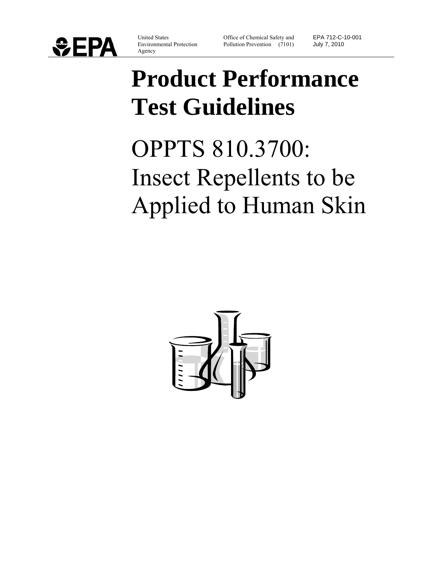

United States Environmental Protection Agency

Office of Chemical Safety and Pollution Prevention (7101) EPA 712-C-10-001 July 7, 2010

# **Product Performance Test Guidelines**

OPPTS 810.3700: Insect Repellents to be Applied to Human Skin

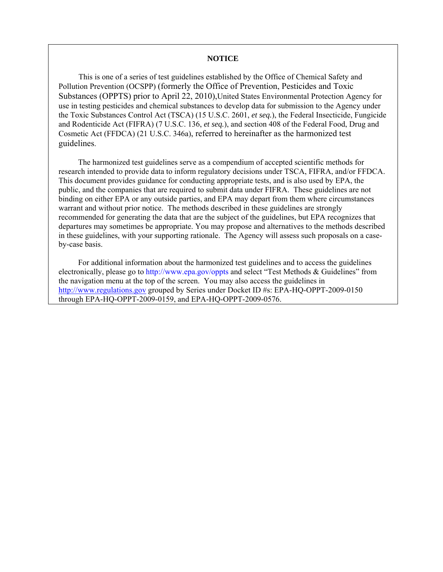#### **NOTICE**

 This is one of a series of test guidelines established by the Office of Chemical Safety and Pollution Prevention (OCSPP) (formerly the Office of Prevention, Pesticides and Toxic Substances (OPPTS) prior to April 22, 2010),United States Environmental Protection Agency for use in testing pesticides and chemical substances to develop data for submission to the Agency under the Toxic Substances Control Act (TSCA) (15 U.S.C. 2601, *et seq.*), the Federal Insecticide, Fungicide and Rodenticide Act (FIFRA) (7 U.S.C. 136, *et seq.*), and section 408 of the Federal Food, Drug and Cosmetic Act (FFDCA) (21 U.S.C. 346a), referred to hereinafter as the harmonized test guidelines.

 The harmonized test guidelines serve as a compendium of accepted scientific methods for research intended to provide data to inform regulatory decisions under TSCA, FIFRA, and/or FFDCA. This document provides guidance for conducting appropriate tests, and is also used by EPA, the public, and the companies that are required to submit data under FIFRA. These guidelines are not binding on either EPA or any outside parties, and EPA may depart from them where circumstances warrant and without prior notice. The methods described in these guidelines are strongly recommended for generating the data that are the subject of the guidelines, but EPA recognizes that departures may sometimes be appropriate. You may propose and alternatives to the methods described in these guidelines, with your supporting rationale. The Agency will assess such proposals on a caseby-case basis.

 For additional information about the harmonized test guidelines and to access the guidelines electronically, please go to http://www.epa.gov/oppts and select "Test Methods & Guidelines" from the navigation menu at the top of the screen. You may also access the guidelines in [http://www.regulations.gov](http://www.regulations.gov/) grouped by Series under Docket ID #s: EPA-HQ-OPPT-2009-0150 through EPA-HQ-OPPT-2009-0159, and EPA-HQ-OPPT-2009-0576.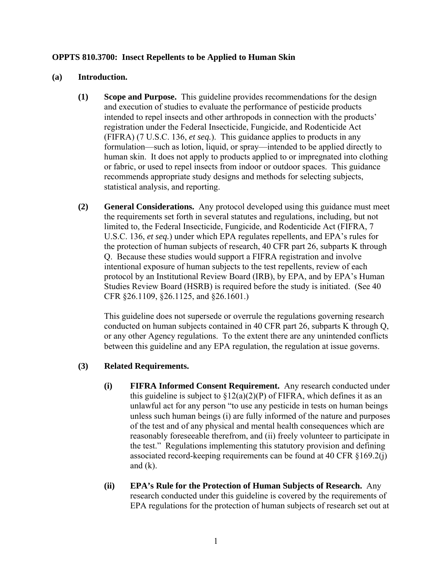#### **OPPTS 810.3700: Insect Repellents to be Applied to Human Skin**

#### **(a) Introduction.**

- **(1) Scope and Purpose.** This guideline provides recommendations for the design and execution of studies to evaluate the performance of pesticide products intended to repel insects and other arthropods in connection with the products' registration under the Federal Insecticide, Fungicide, and Rodenticide Act (FIFRA) (7 U.S.C. 136, *et seq.*). This guidance applies to products in any formulation—such as lotion, liquid, or spray—intended to be applied directly to human skin. It does not apply to products applied to or impregnated into clothing or fabric, or used to repel insects from indoor or outdoor spaces. This guidance recommends appropriate study designs and methods for selecting subjects, statistical analysis, and reporting.
- **(2) General Considerations.** Any protocol developed using this guidance must meet the requirements set forth in several statutes and regulations, including, but not limited to, the Federal Insecticide, Fungicide, and Rodenticide Act (FIFRA, 7 U.S.C. 136, *et seq.*) under which EPA regulates repellents, and EPA's rules for the protection of human subjects of research, 40 CFR part 26, subparts K through Q. Because these studies would support a FIFRA registration and involve intentional exposure of human subjects to the test repellents, review of each protocol by an Institutional Review Board (IRB), by EPA, and by EPA's Human Studies Review Board (HSRB) is required before the study is initiated. (See 40 CFR §26.1109, §26.1125, and §26.1601.)

This guideline does not supersede or overrule the regulations governing research conducted on human subjects contained in 40 CFR part 26, subparts K through Q, or any other Agency regulations. To the extent there are any unintended conflicts between this guideline and any EPA regulation, the regulation at issue governs.

#### **(3) Related Requirements.**

- **(i) FIFRA Informed Consent Requirement.** Any research conducted under this guideline is subject to  $\S 12(a)(2)(P)$  of FIFRA, which defines it as an unlawful act for any person "to use any pesticide in tests on human beings unless such human beings (i) are fully informed of the nature and purposes of the test and of any physical and mental health consequences which are reasonably foreseeable therefrom, and (ii) freely volunteer to participate in the test." Regulations implementing this statutory provision and defining associated record-keeping requirements can be found at 40 CFR §169.2(j) and  $(k)$ .
- **(ii) EPA's Rule for the Protection of Human Subjects of Research.** Any research conducted under this guideline is covered by the requirements of EPA regulations for the protection of human subjects of research set out at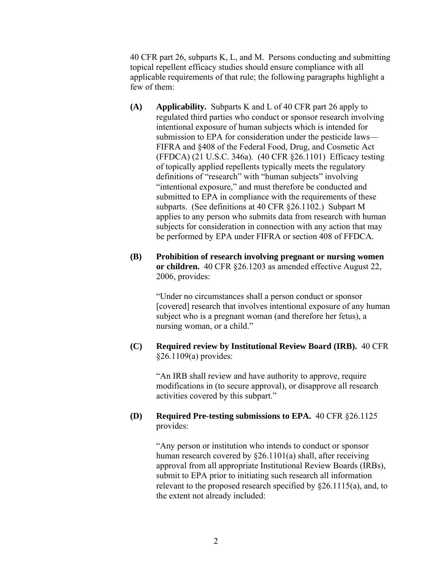40 CFR part 26, subparts K, L, and M. Persons conducting and submitting topical repellent efficacy studies should ensure compliance with all applicable requirements of that rule; the following paragraphs highlight a few of them:

- **(A) Applicability.** Subparts K and L of 40 CFR part 26 apply to regulated third parties who conduct or sponsor research involving intentional exposure of human subjects which is intended for submission to EPA for consideration under the pesticide laws— FIFRA and §408 of the Federal Food, Drug, and Cosmetic Act (FFDCA) (21 U.S.C. 346a). (40 CFR §26.1101) Efficacy testing of topically applied repellents typically meets the regulatory definitions of "research" with "human subjects" involving "intentional exposure," and must therefore be conducted and submitted to EPA in compliance with the requirements of these subparts. (See definitions at 40 CFR §26.1102.) Subpart M applies to any person who submits data from research with human subjects for consideration in connection with any action that may be performed by EPA under FIFRA or section 408 of FFDCA.
- **(B) Prohibition of research involving pregnant or nursing women or children.** 40 CFR §26.1203 as amended effective August 22, 2006, provides:

"Under no circumstances shall a person conduct or sponsor [covered] research that involves intentional exposure of any human subject who is a pregnant woman (and therefore her fetus), a nursing woman, or a child."

**(C) Required review by Institutional Review Board (IRB).** 40 CFR §26.1109(a) provides:

> "An IRB shall review and have authority to approve, require modifications in (to secure approval), or disapprove all research activities covered by this subpart."

#### **(D) Required Pre-testing submissions to EPA.** 40 CFR §26.1125 provides:

"Any person or institution who intends to conduct or sponsor human research covered by §26.1101(a) shall, after receiving approval from all appropriate Institutional Review Boards (IRBs), submit to EPA prior to initiating such research all information relevant to the proposed research specified by §26.1115(a), and, to the extent not already included: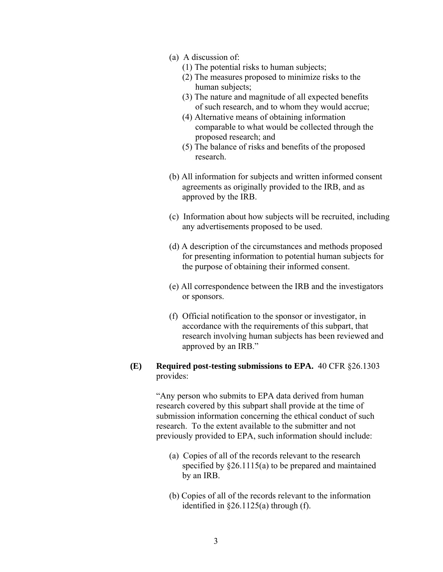- (a) A discussion of:
	- (1) The potential risks to human subjects;
	- (2) The measures proposed to minimize risks to the human subjects;
	- (3) The nature and magnitude of all expected benefits of such research, and to whom they would accrue;
	- (4) Alternative means of obtaining information comparable to what would be collected through the proposed research; and
	- (5) The balance of risks and benefits of the proposed research.
- (b) All information for subjects and written informed consent agreements as originally provided to the IRB, and as approved by the IRB.
- (c) Information about how subjects will be recruited, including any advertisements proposed to be used.
- (d) A description of the circumstances and methods proposed for presenting information to potential human subjects for the purpose of obtaining their informed consent.
- (e) All correspondence between the IRB and the investigators or sponsors.
- (f) Official notification to the sponsor or investigator, in accordance with the requirements of this subpart, that research involving human subjects has been reviewed and approved by an IRB."

#### **(E) Required post-testing submissions to EPA.** 40 CFR §26.1303 provides:

"Any person who submits to EPA data derived from human research covered by this subpart shall provide at the time of submission information concerning the ethical conduct of such research. To the extent available to the submitter and not previously provided to EPA, such information should include:

- (a) Copies of all of the records relevant to the research specified by §26.1115(a) to be prepared and maintained by an IRB.
- (b) Copies of all of the records relevant to the information identified in  $\S 26.1125(a)$  through (f).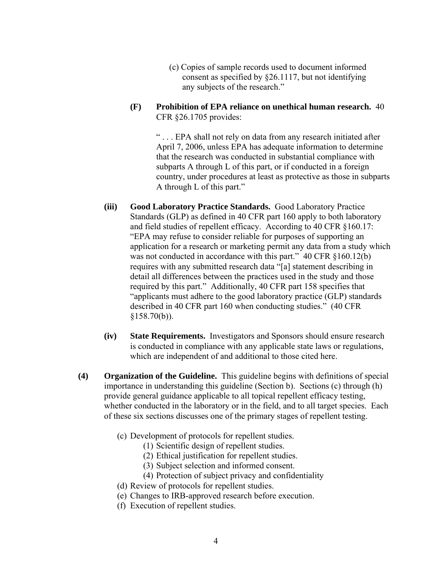- (c) Copies of sample records used to document informed consent as specified by §26.1117, but not identifying any subjects of the research."
- **(F) Prohibition of EPA reliance on unethical human research.** 40 CFR §26.1705 provides:

" . . . EPA shall not rely on data from any research initiated after April 7, 2006, unless EPA has adequate information to determine that the research was conducted in substantial compliance with subparts A through L of this part, or if conducted in a foreign country, under procedures at least as protective as those in subparts A through L of this part."

- **(iii) Good Laboratory Practice Standards.** Good Laboratory Practice Standards (GLP) as defined in 40 CFR part 160 apply to both laboratory and field studies of repellent efficacy. According to 40 CFR §160.17: "EPA may refuse to consider reliable for purposes of supporting an application for a research or marketing permit any data from a study which was not conducted in accordance with this part." 40 CFR §160.12(b) requires with any submitted research data "[a] statement describing in detail all differences between the practices used in the study and those required by this part." Additionally, 40 CFR part 158 specifies that "applicants must adhere to the good laboratory practice (GLP) standards described in 40 CFR part 160 when conducting studies." (40 CFR  $$158.70(b)$ ).
- **(iv) State Requirements.** Investigators and Sponsors should ensure research is conducted in compliance with any applicable state laws or regulations, which are independent of and additional to those cited here.
- **(4) Organization of the Guideline.** This guideline begins with definitions of special importance in understanding this guideline (Section b). Sections (c) through (h) provide general guidance applicable to all topical repellent efficacy testing, whether conducted in the laboratory or in the field, and to all target species. Each of these six sections discusses one of the primary stages of repellent testing.
	- (c) Development of protocols for repellent studies.
		- (1) Scientific design of repellent studies.
		- (2) Ethical justification for repellent studies.
		- (3) Subject selection and informed consent.
		- (4) Protection of subject privacy and confidentiality
	- (d) Review of protocols for repellent studies.
	- (e) Changes to IRB-approved research before execution.
	- (f) Execution of repellent studies.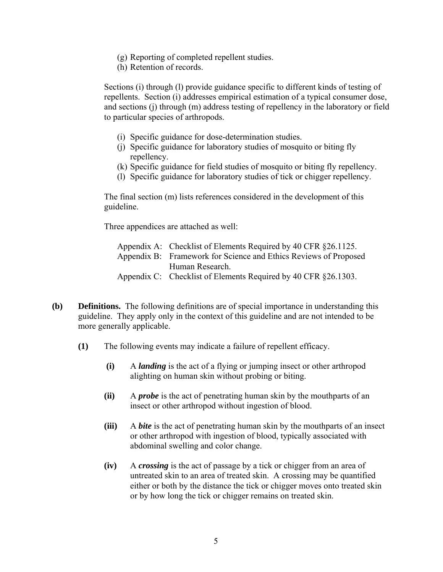- (g) Reporting of completed repellent studies.
- (h) Retention of records.

Sections (i) through (l) provide guidance specific to different kinds of testing of repellents. Section (i) addresses empirical estimation of a typical consumer dose, and sections (j) through (m) address testing of repellency in the laboratory or field to particular species of arthropods.

- (i) Specific guidance for dose-determination studies.
- (j) Specific guidance for laboratory studies of mosquito or biting fly repellency.
- (k) Specific guidance for field studies of mosquito or biting fly repellency.
- (l) Specific guidance for laboratory studies of tick or chigger repellency.

The final section (m) lists references considered in the development of this guideline.

Three appendices are attached as well:

| Appendix A: Checklist of Elements Required by 40 CFR §26.1125.   |
|------------------------------------------------------------------|
| Appendix B: Framework for Science and Ethics Reviews of Proposed |
| Human Research.                                                  |
| Appendix C: Checklist of Elements Required by 40 CFR §26.1303.   |

- **(b) Definitions.** The following definitions are of special importance in understanding this guideline. They apply only in the context of this guideline and are not intended to be more generally applicable.
	- **(1)** The following events may indicate a failure of repellent efficacy.
		- **(i)** A *landing* is the act of a flying or jumping insect or other arthropod alighting on human skin without probing or biting.
		- **(ii)** A *probe* is the act of penetrating human skin by the mouthparts of an insect or other arthropod without ingestion of blood.
		- **(iii)** A *bite* is the act of penetrating human skin by the mouthparts of an insect or other arthropod with ingestion of blood, typically associated with abdominal swelling and color change.
		- **(iv)** A *crossing* is the act of passage by a tick or chigger from an area of untreated skin to an area of treated skin. A crossing may be quantified either or both by the distance the tick or chigger moves onto treated skin or by how long the tick or chigger remains on treated skin.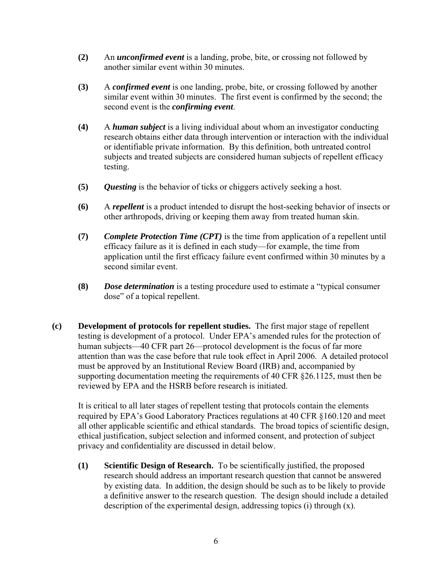- **(2)** An *unconfirmed event* is a landing, probe, bite, or crossing not followed by another similar event within 30 minutes.
- **(3)** A *confirmed event* is one landing, probe, bite, or crossing followed by another similar event within 30 minutes. The first event is confirmed by the second; the second event is the *confirming event*.
- **(4)** A *human subject* is a living individual about whom an investigator conducting research obtains either data through intervention or interaction with the individual or identifiable private information. By this definition, both untreated control subjects and treated subjects are considered human subjects of repellent efficacy testing.
- **(5)** *Questing* is the behavior of ticks or chiggers actively seeking a host.
- **(6)** A *repellent* is a product intended to disrupt the host-seeking behavior of insects or other arthropods, driving or keeping them away from treated human skin.
- **(7)** *Complete Protection Time (CPT)* is the time from application of a repellent until efficacy failure as it is defined in each study—for example, the time from application until the first efficacy failure event confirmed within 30 minutes by a second similar event.
- **(8)** *Dose determination* is a testing procedure used to estimate a "typical consumer dose" of a topical repellent.
- **(c) Development of protocols for repellent studies.** The first major stage of repellent testing is development of a protocol. Under EPA's amended rules for the protection of human subjects—40 CFR part 26—protocol development is the focus of far more attention than was the case before that rule took effect in April 2006. A detailed protocol must be approved by an Institutional Review Board (IRB) and, accompanied by supporting documentation meeting the requirements of 40 CFR §26.1125, must then be reviewed by EPA and the HSRB before research is initiated.

It is critical to all later stages of repellent testing that protocols contain the elements required by EPA's Good Laboratory Practices regulations at 40 CFR §160.120 and meet all other applicable scientific and ethical standards. The broad topics of scientific design, ethical justification, subject selection and informed consent, and protection of subject privacy and confidentiality are discussed in detail below.

**(1) Scientific Design of Research.** To be scientifically justified, the proposed research should address an important research question that cannot be answered by existing data. In addition, the design should be such as to be likely to provide a definitive answer to the research question. The design should include a detailed description of the experimental design, addressing topics (i) through (x).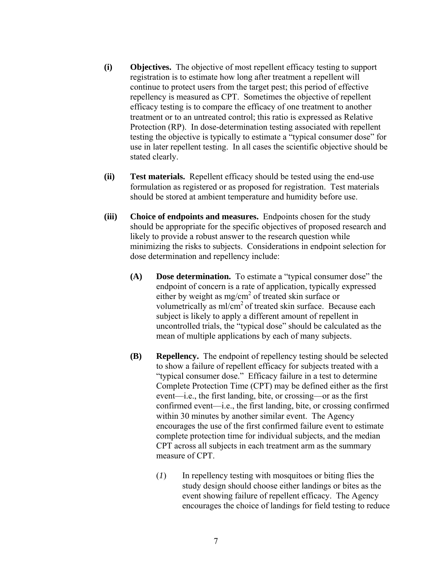- **(i) Objectives.** The objective of most repellent efficacy testing to support registration is to estimate how long after treatment a repellent will continue to protect users from the target pest; this period of effective repellency is measured as CPT. Sometimes the objective of repellent efficacy testing is to compare the efficacy of one treatment to another treatment or to an untreated control; this ratio is expressed as Relative Protection (RP). In dose-determination testing associated with repellent testing the objective is typically to estimate a "typical consumer dose" for use in later repellent testing. In all cases the scientific objective should be stated clearly.
- **(ii) Test materials.** Repellent efficacy should be tested using the end-use formulation as registered or as proposed for registration. Test materials should be stored at ambient temperature and humidity before use.
- **(iii) Choice of endpoints and measures.** Endpoints chosen for the study should be appropriate for the specific objectives of proposed research and likely to provide a robust answer to the research question while minimizing the risks to subjects. Considerations in endpoint selection for dose determination and repellency include:
	- **(A) Dose determination.** To estimate a "typical consumer dose" the endpoint of concern is a rate of application, typically expressed either by weight as  $mg/cm^2$  of treated skin surface or volumetrically as  $ml/cm<sup>2</sup>$  of treated skin surface. Because each subject is likely to apply a different amount of repellent in uncontrolled trials, the "typical dose" should be calculated as the mean of multiple applications by each of many subjects.
	- **(B) Repellency.** The endpoint of repellency testing should be selected to show a failure of repellent efficacy for subjects treated with a "typical consumer dose." Efficacy failure in a test to determine Complete Protection Time (CPT) may be defined either as the first event—i.e., the first landing, bite, or crossing—or as the first confirmed event—i.e., the first landing, bite, or crossing confirmed within 30 minutes by another similar event. The Agency encourages the use of the first confirmed failure event to estimate complete protection time for individual subjects, and the median CPT across all subjects in each treatment arm as the summary measure of CPT.
		- (*1*) In repellency testing with mosquitoes or biting flies the study design should choose either landings or bites as the event showing failure of repellent efficacy. The Agency encourages the choice of landings for field testing to reduce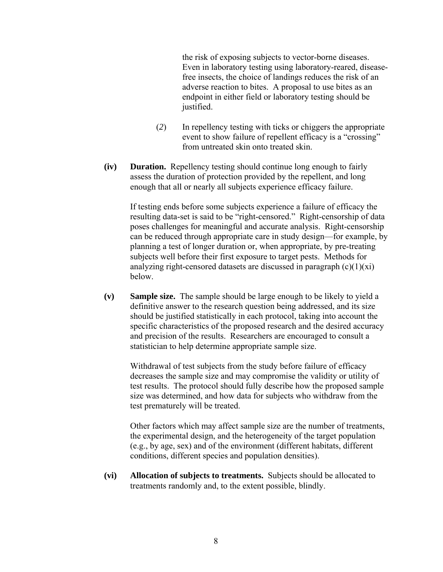the risk of exposing subjects to vector-borne diseases. Even in laboratory testing using laboratory-reared, diseasefree insects, the choice of landings reduces the risk of an adverse reaction to bites. A proposal to use bites as an endpoint in either field or laboratory testing should be justified.

- (*2*) In repellency testing with ticks or chiggers the appropriate event to show failure of repellent efficacy is a "crossing" from untreated skin onto treated skin.
- **(iv) Duration.** Repellency testing should continue long enough to fairly assess the duration of protection provided by the repellent, and long enough that all or nearly all subjects experience efficacy failure.

If testing ends before some subjects experience a failure of efficacy the resulting data-set is said to be "right-censored." Right-censorship of data poses challenges for meaningful and accurate analysis. Right-censorship can be reduced through appropriate care in study design—for example, by planning a test of longer duration or, when appropriate, by pre-treating subjects well before their first exposure to target pests. Methods for analyzing right-censored datasets are discussed in paragraph  $(c)(1)(xi)$ below.

**(v) Sample size.** The sample should be large enough to be likely to yield a definitive answer to the research question being addressed, and its size should be justified statistically in each protocol, taking into account the specific characteristics of the proposed research and the desired accuracy and precision of the results. Researchers are encouraged to consult a statistician to help determine appropriate sample size.

Withdrawal of test subjects from the study before failure of efficacy decreases the sample size and may compromise the validity or utility of test results. The protocol should fully describe how the proposed sample size was determined, and how data for subjects who withdraw from the test prematurely will be treated.

Other factors which may affect sample size are the number of treatments, the experimental design, and the heterogeneity of the target population (e.g., by age, sex) and of the environment (different habitats, different conditions, different species and population densities).

**(vi) Allocation of subjects to treatments.** Subjects should be allocated to treatments randomly and, to the extent possible, blindly.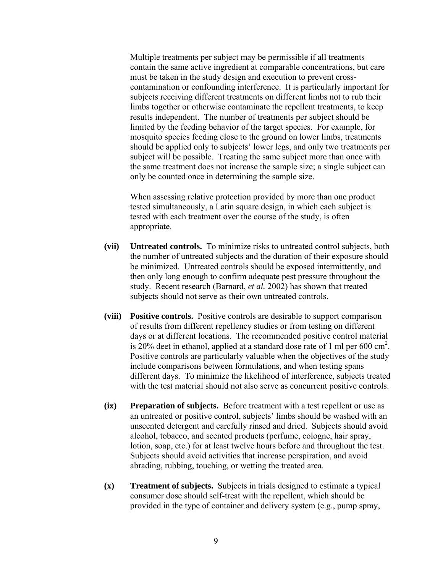Multiple treatments per subject may be permissible if all treatments contain the same active ingredient at comparable concentrations, but care must be taken in the study design and execution to prevent crosscontamination or confounding interference. It is particularly important for subjects receiving different treatments on different limbs not to rub their limbs together or otherwise contaminate the repellent treatments, to keep results independent. The number of treatments per subject should be limited by the feeding behavior of the target species. For example, for mosquito species feeding close to the ground on lower limbs, treatments should be applied only to subjects' lower legs, and only two treatments per subject will be possible. Treating the same subject more than once with the same treatment does not increase the sample size; a single subject can only be counted once in determining the sample size.

When assessing relative protection provided by more than one product tested simultaneously, a Latin square design, in which each subject is tested with each treatment over the course of the study, is often appropriate.

- **(vii) Untreated controls.** To minimize risks to untreated control subjects, both the number of untreated subjects and the duration of their exposure should be minimized. Untreated controls should be exposed intermittently, and then only long enough to confirm adequate pest pressure throughout the study. Recent research (Barnard, *et al.* 2002) has shown that treated subjects should not serve as their own untreated controls.
- **(viii) Positive controls.** Positive controls are desirable to support comparison of results from different repellency studies or from testing on different days or at different locations. The recommended positive control material is 20% deet in ethanol, applied at a standard dose rate of 1 ml per 600  $\text{cm}^2$ . Positive controls are particularly valuable when the objectives of the study include comparisons between formulations, and when testing spans different days. To minimize the likelihood of interference, subjects treated with the test material should not also serve as concurrent positive controls.
- **(ix) Preparation of subjects.** Before treatment with a test repellent or use as an untreated or positive control, subjects' limbs should be washed with an unscented detergent and carefully rinsed and dried. Subjects should avoid alcohol, tobacco, and scented products (perfume, cologne, hair spray, lotion, soap, etc.) for at least twelve hours before and throughout the test. Subjects should avoid activities that increase perspiration, and avoid abrading, rubbing, touching, or wetting the treated area.
- **(x) Treatment of subjects.** Subjects in trials designed to estimate a typical consumer dose should self-treat with the repellent, which should be provided in the type of container and delivery system (e.g., pump spray,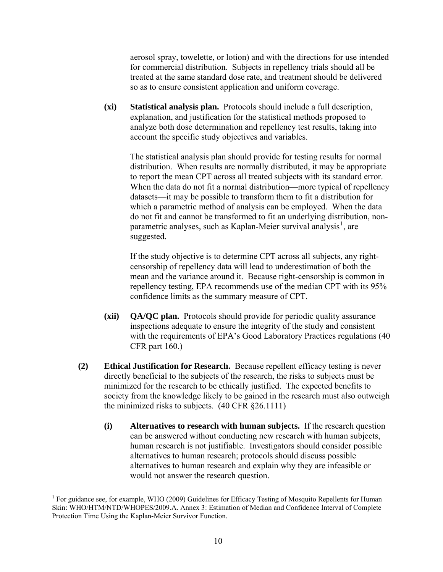aerosol spray, towelette, or lotion) and with the directions for use intended for commercial distribution. Subjects in repellency trials should all be treated at the same standard dose rate, and treatment should be delivered so as to ensure consistent application and uniform coverage.

**(xi) Statistical analysis plan.** Protocols should include a full description, explanation, and justification for the statistical methods proposed to analyze both dose determination and repellency test results, taking into account the specific study objectives and variables.

The statistical analysis plan should provide for testing results for normal distribution. When results are normally distributed, it may be appropriate to report the mean CPT across all treated subjects with its standard error. When the data do not fit a normal distribution—more typical of repellency datasets—it may be possible to transform them to fit a distribution for which a parametric method of analysis can be employed. When the data do not fit and cannot be transformed to fit an underlying distribution, non-parametric analyses, such as Kaplan-Meier survival analysis<sup>[1](#page-11-0)</sup>, are suggested.

If the study objective is to determine CPT across all subjects, any rightcensorship of repellency data will lead to underestimation of both the mean and the variance around it. Because right-censorship is common in repellency testing, EPA recommends use of the median CPT with its 95% confidence limits as the summary measure of CPT.

- **(xii) QA/QC plan.** Protocols should provide for periodic quality assurance inspections adequate to ensure the integrity of the study and consistent with the requirements of EPA's Good Laboratory Practices regulations (40) CFR part 160.)
- **(2) Ethical Justification for Research.** Because repellent efficacy testing is never directly beneficial to the subjects of the research, the risks to subjects must be minimized for the research to be ethically justified. The expected benefits to society from the knowledge likely to be gained in the research must also outweigh the minimized risks to subjects. (40 CFR §26.1111)
	- **(i) Alternatives to research with human subjects.** If the research question can be answered without conducting new research with human subjects, human research is not justifiable. Investigators should consider possible alternatives to human research; protocols should discuss possible alternatives to human research and explain why they are infeasible or would not answer the research question.

<span id="page-11-0"></span> $\overline{a}$ <sup>1</sup> For guidance see, for example, WHO (2009) Guidelines for Efficacy Testing of Mosquito Repellents for Human Skin: WHO/HTM/NTD/WHOPES/2009.A. Annex 3: Estimation of Median and Confidence Interval of Complete Protection Time Using the Kaplan-Meier Survivor Function.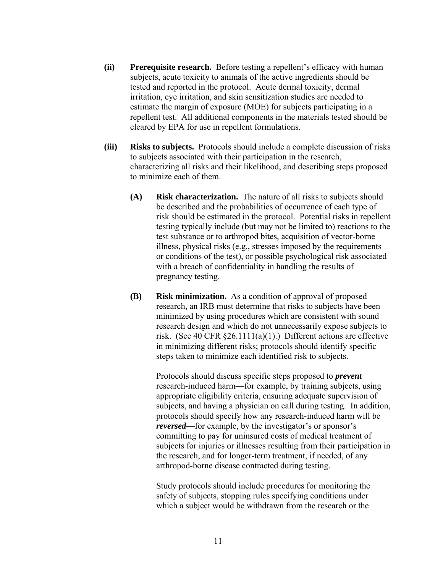- **(ii) Prerequisite research.** Before testing a repellent's efficacy with human subjects, acute toxicity to animals of the active ingredients should be tested and reported in the protocol. Acute dermal toxicity, dermal irritation, eye irritation, and skin sensitization studies are needed to estimate the margin of exposure (MOE) for subjects participating in a repellent test. All additional components in the materials tested should be cleared by EPA for use in repellent formulations.
- **(iii) Risks to subjects.** Protocols should include a complete discussion of risks to subjects associated with their participation in the research, characterizing all risks and their likelihood, and describing steps proposed to minimize each of them.
	- **(A) Risk characterization.** The nature of all risks to subjects should be described and the probabilities of occurrence of each type of risk should be estimated in the protocol. Potential risks in repellent testing typically include (but may not be limited to) reactions to the test substance or to arthropod bites, acquisition of vector-borne illness, physical risks (e.g., stresses imposed by the requirements or conditions of the test), or possible psychological risk associated with a breach of confidentiality in handling the results of pregnancy testing.
	- **(B) Risk minimization.** As a condition of approval of proposed research, an IRB must determine that risks to subjects have been minimized by using procedures which are consistent with sound research design and which do not unnecessarily expose subjects to risk. (See 40 CFR §26.1111(a)(1).) Different actions are effective in minimizing different risks; protocols should identify specific steps taken to minimize each identified risk to subjects.

Protocols should discuss specific steps proposed to *prevent* research-induced harm—for example, by training subjects, using appropriate eligibility criteria, ensuring adequate supervision of subjects, and having a physician on call during testing. In addition, protocols should specify how any research-induced harm will be *reversed*—for example, by the investigator's or sponsor's committing to pay for uninsured costs of medical treatment of subjects for injuries or illnesses resulting from their participation in the research, and for longer-term treatment, if needed, of any arthropod-borne disease contracted during testing.

Study protocols should include procedures for monitoring the safety of subjects, stopping rules specifying conditions under which a subject would be withdrawn from the research or the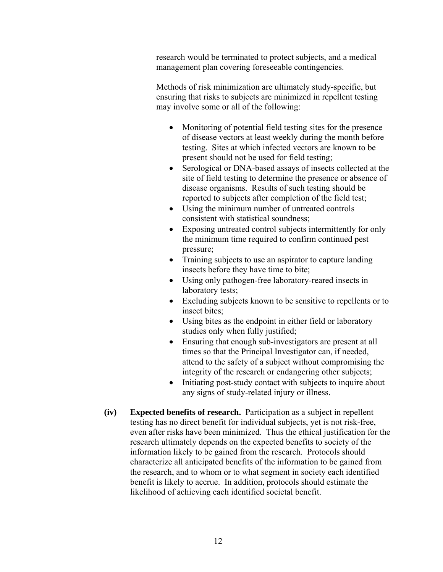research would be terminated to protect subjects, and a medical management plan covering foreseeable contingencies.

Methods of risk minimization are ultimately study-specific, but ensuring that risks to subjects are minimized in repellent testing may involve some or all of the following:

- Monitoring of potential field testing sites for the presence of disease vectors at least weekly during the month before testing. Sites at which infected vectors are known to be present should not be used for field testing;
- Serological or DNA-based assays of insects collected at the site of field testing to determine the presence or absence of disease organisms. Results of such testing should be reported to subjects after completion of the field test;
- Using the minimum number of untreated controls consistent with statistical soundness;
- Exposing untreated control subjects intermittently for only the minimum time required to confirm continued pest pressure;
- Training subjects to use an aspirator to capture landing insects before they have time to bite;
- Using only pathogen-free laboratory-reared insects in laboratory tests;
- Excluding subjects known to be sensitive to repellents or to insect bites;
- Using bites as the endpoint in either field or laboratory studies only when fully justified;
- Ensuring that enough sub-investigators are present at all times so that the Principal Investigator can, if needed, attend to the safety of a subject without compromising the integrity of the research or endangering other subjects;
- Initiating post-study contact with subjects to inquire about any signs of study-related injury or illness.
- **(iv) Expected benefits of research.** Participation as a subject in repellent testing has no direct benefit for individual subjects, yet is not risk-free, even after risks have been minimized. Thus the ethical justification for the research ultimately depends on the expected benefits to society of the information likely to be gained from the research. Protocols should characterize all anticipated benefits of the information to be gained from the research, and to whom or to what segment in society each identified benefit is likely to accrue. In addition, protocols should estimate the likelihood of achieving each identified societal benefit.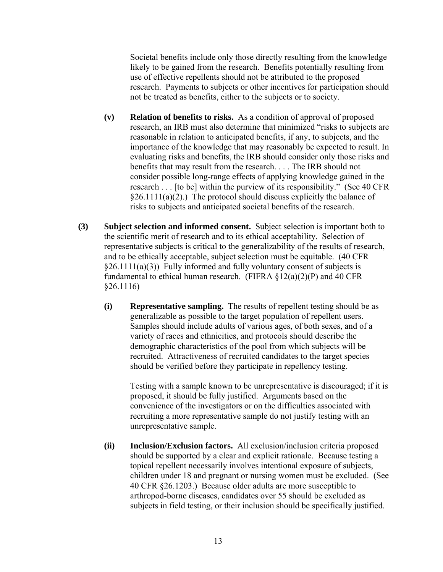Societal benefits include only those directly resulting from the knowledge likely to be gained from the research. Benefits potentially resulting from use of effective repellents should not be attributed to the proposed research. Payments to subjects or other incentives for participation should not be treated as benefits, either to the subjects or to society.

- **(v) Relation of benefits to risks.** As a condition of approval of proposed research, an IRB must also determine that minimized "risks to subjects are reasonable in relation to anticipated benefits, if any, to subjects, and the importance of the knowledge that may reasonably be expected to result. In evaluating risks and benefits, the IRB should consider only those risks and benefits that may result from the research. . . . The IRB should not consider possible long-range effects of applying knowledge gained in the research . . . [to be] within the purview of its responsibility." (See 40 CFR  $§26.1111(a)(2)$ .) The protocol should discuss explicitly the balance of risks to subjects and anticipated societal benefits of the research.
- **(3) Subject selection and informed consent.** Subject selection is important both to the scientific merit of research and to its ethical acceptability. Selection of representative subjects is critical to the generalizability of the results of research, and to be ethically acceptable, subject selection must be equitable. (40 CFR  $§26.1111(a)(3)$ ) Fully informed and fully voluntary consent of subjects is fundamental to ethical human research. (FIFRA  $\S 12(a)(2)(P)$  and 40 CFR §26.1116)
	- **(i) Representative sampling.** The results of repellent testing should be as generalizable as possible to the target population of repellent users. Samples should include adults of various ages, of both sexes, and of a variety of races and ethnicities, and protocols should describe the demographic characteristics of the pool from which subjects will be recruited. Attractiveness of recruited candidates to the target species should be verified before they participate in repellency testing.

Testing with a sample known to be unrepresentative is discouraged; if it is proposed, it should be fully justified. Arguments based on the convenience of the investigators or on the difficulties associated with recruiting a more representative sample do not justify testing with an unrepresentative sample.

**(ii) Inclusion/Exclusion factors.** All exclusion/inclusion criteria proposed should be supported by a clear and explicit rationale. Because testing a topical repellent necessarily involves intentional exposure of subjects, children under 18 and pregnant or nursing women must be excluded. (See 40 CFR §26.1203.) Because older adults are more susceptible to arthropod-borne diseases, candidates over 55 should be excluded as subjects in field testing, or their inclusion should be specifically justified.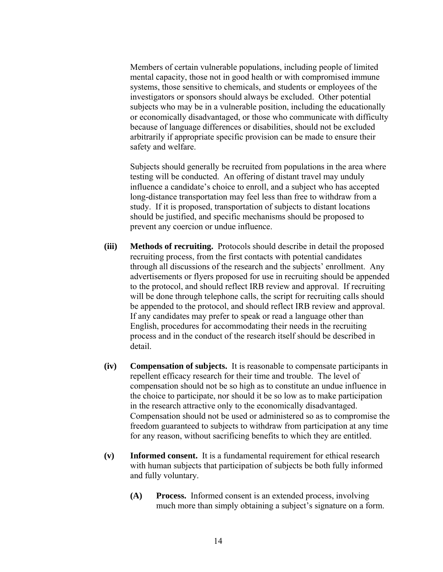Members of certain vulnerable populations, including people of limited mental capacity, those not in good health or with compromised immune systems, those sensitive to chemicals, and students or employees of the investigators or sponsors should always be excluded. Other potential subjects who may be in a vulnerable position, including the educationally or economically disadvantaged, or those who communicate with difficulty because of language differences or disabilities, should not be excluded arbitrarily if appropriate specific provision can be made to ensure their safety and welfare.

Subjects should generally be recruited from populations in the area where testing will be conducted. An offering of distant travel may unduly influence a candidate's choice to enroll, and a subject who has accepted long-distance transportation may feel less than free to withdraw from a study. If it is proposed, transportation of subjects to distant locations should be justified, and specific mechanisms should be proposed to prevent any coercion or undue influence.

- **(iii) Methods of recruiting.** Protocols should describe in detail the proposed recruiting process, from the first contacts with potential candidates through all discussions of the research and the subjects' enrollment. Any advertisements or flyers proposed for use in recruiting should be appended to the protocol, and should reflect IRB review and approval. If recruiting will be done through telephone calls, the script for recruiting calls should be appended to the protocol, and should reflect IRB review and approval. If any candidates may prefer to speak or read a language other than English, procedures for accommodating their needs in the recruiting process and in the conduct of the research itself should be described in detail.
- **(iv) Compensation of subjects.** It is reasonable to compensate participants in repellent efficacy research for their time and trouble. The level of compensation should not be so high as to constitute an undue influence in the choice to participate, nor should it be so low as to make participation in the research attractive only to the economically disadvantaged. Compensation should not be used or administered so as to compromise the freedom guaranteed to subjects to withdraw from participation at any time for any reason, without sacrificing benefits to which they are entitled.
- **(v) Informed consent.** It is a fundamental requirement for ethical research with human subjects that participation of subjects be both fully informed and fully voluntary.
	- **(A) Process.** Informed consent is an extended process, involving much more than simply obtaining a subject's signature on a form.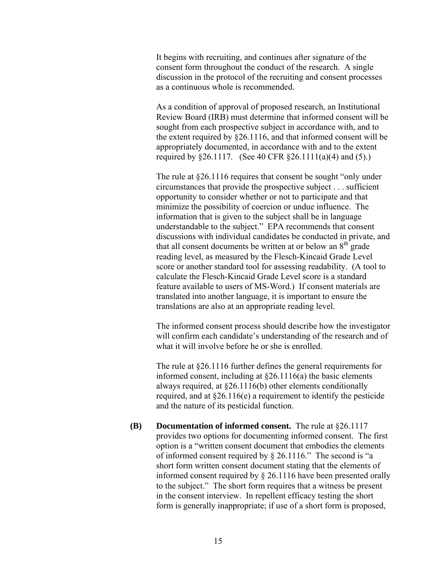It begins with recruiting, and continues after signature of the consent form throughout the conduct of the research. A single discussion in the protocol of the recruiting and consent processes as a continuous whole is recommended.

As a condition of approval of proposed research, an Institutional Review Board (IRB) must determine that informed consent will be sought from each prospective subject in accordance with, and to the extent required by §26.1116, and that informed consent will be appropriately documented, in accordance with and to the extent required by §26.1117. (See 40 CFR §26.1111(a)(4) and (5).)

The rule at §26.1116 requires that consent be sought "only under circumstances that provide the prospective subject . . . sufficient opportunity to consider whether or not to participate and that minimize the possibility of coercion or undue influence. The information that is given to the subject shall be in language understandable to the subject." EPA recommends that consent discussions with individual candidates be conducted in private, and that all consent documents be written at or below an  $8<sup>th</sup>$  grade reading level, as measured by the Flesch-Kincaid Grade Level score or another standard tool for assessing readability. (A tool to calculate the Flesch-Kincaid Grade Level score is a standard feature available to users of MS-Word.) If consent materials are translated into another language, it is important to ensure the translations are also at an appropriate reading level.

The informed consent process should describe how the investigator will confirm each candidate's understanding of the research and of what it will involve before he or she is enrolled.

The rule at §26.1116 further defines the general requirements for informed consent, including at  $\S26.1116(a)$  the basic elements always required, at §26.1116(b) other elements conditionally required, and at  $\S 26.116(e)$  a requirement to identify the pesticide and the nature of its pesticidal function.

**(B) Documentation of informed consent.** The rule at §26.1117 provides two options for documenting informed consent. The first option is a "written consent document that embodies the elements of informed consent required by § 26.1116." The second is "a short form written consent document stating that the elements of informed consent required by § 26.1116 have been presented orally to the subject." The short form requires that a witness be present in the consent interview. In repellent efficacy testing the short form is generally inappropriate; if use of a short form is proposed,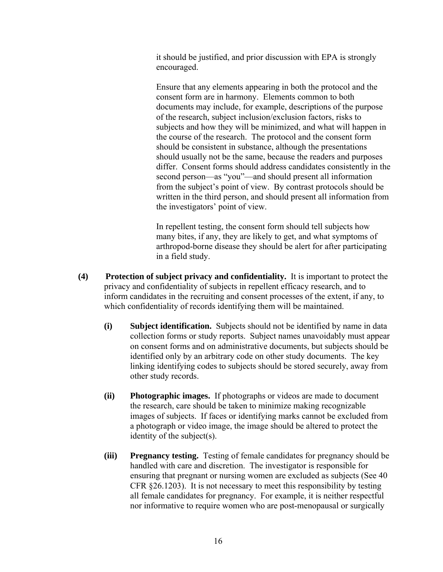it should be justified, and prior discussion with EPA is strongly encouraged.

Ensure that any elements appearing in both the protocol and the consent form are in harmony. Elements common to both documents may include, for example, descriptions of the purpose of the research, subject inclusion/exclusion factors, risks to subjects and how they will be minimized, and what will happen in the course of the research. The protocol and the consent form should be consistent in substance, although the presentations should usually not be the same, because the readers and purposes differ. Consent forms should address candidates consistently in the second person—as "you"—and should present all information from the subject's point of view. By contrast protocols should be written in the third person, and should present all information from the investigators' point of view.

In repellent testing, the consent form should tell subjects how many bites, if any, they are likely to get, and what symptoms of arthropod-borne disease they should be alert for after participating in a field study.

- **(4) Protection of subject privacy and confidentiality.** It is important to protect the privacy and confidentiality of subjects in repellent efficacy research, and to inform candidates in the recruiting and consent processes of the extent, if any, to which confidentiality of records identifying them will be maintained.
	- **(i) Subject identification.** Subjects should not be identified by name in data collection forms or study reports. Subject names unavoidably must appear on consent forms and on administrative documents, but subjects should be identified only by an arbitrary code on other study documents. The key linking identifying codes to subjects should be stored securely, away from other study records.
	- **(ii) Photographic images.** If photographs or videos are made to document the research, care should be taken to minimize making recognizable images of subjects. If faces or identifying marks cannot be excluded from a photograph or video image, the image should be altered to protect the identity of the subject(s).
	- **(iii) Pregnancy testing.** Testing of female candidates for pregnancy should be handled with care and discretion. The investigator is responsible for ensuring that pregnant or nursing women are excluded as subjects (See 40 CFR §26.1203). It is not necessary to meet this responsibility by testing all female candidates for pregnancy. For example, it is neither respectful nor informative to require women who are post-menopausal or surgically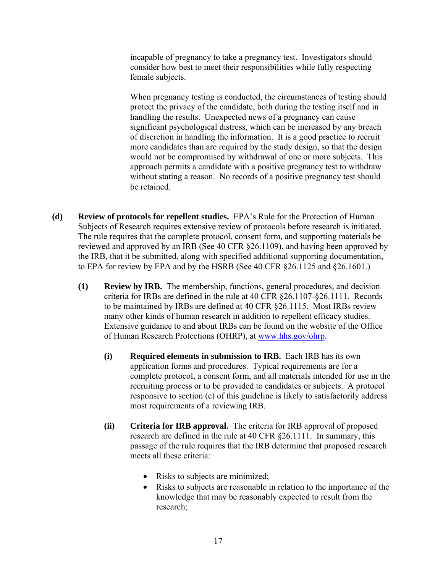incapable of pregnancy to take a pregnancy test. Investigators should consider how best to meet their responsibilities while fully respecting female subjects.

When pregnancy testing is conducted, the circumstances of testing should protect the privacy of the candidate, both during the testing itself and in handling the results. Unexpected news of a pregnancy can cause significant psychological distress, which can be increased by any breach of discretion in handling the information. It is a good practice to recruit more candidates than are required by the study design, so that the design would not be compromised by withdrawal of one or more subjects. This approach permits a candidate with a positive pregnancy test to withdraw without stating a reason. No records of a positive pregnancy test should be retained.

- **(d) Review of protocols for repellent studies.** EPA's Rule for the Protection of Human Subjects of Research requires extensive review of protocols before research is initiated. The rule requires that the complete protocol, consent form, and supporting materials be reviewed and approved by an IRB (See 40 CFR §26.1109), and having been approved by the IRB, that it be submitted, along with specified additional supporting documentation, to EPA for review by EPA and by the HSRB (See 40 CFR §26.1125 and §26.1601.)
	- **(1) Review by IRB.** The membership, functions, general procedures, and decision criteria for IRBs are defined in the rule at 40 CFR §26.1107-§26.1111. Records to be maintained by IRBs are defined at 40 CFR §26.1115. Most IRBs review many other kinds of human research in addition to repellent efficacy studies. Extensive guidance to and about IRBs can be found on the website of the Office of Human Research Protections (OHRP), at [www.hhs.gov/ohrp.](http://www.hhs.gov/ohrp)
		- **(i) Required elements in submission to IRB.** Each IRB has its own application forms and procedures. Typical requirements are for a complete protocol, a consent form, and all materials intended for use in the recruiting process or to be provided to candidates or subjects. A protocol responsive to section (c) of this guideline is likely to satisfactorily address most requirements of a reviewing IRB.
		- **(ii) Criteria for IRB approval.** The criteria for IRB approval of proposed research are defined in the rule at 40 CFR §26.1111. In summary, this passage of the rule requires that the IRB determine that proposed research meets all these criteria:
			- Risks to subjects are minimized;
			- Risks to subjects are reasonable in relation to the importance of the knowledge that may be reasonably expected to result from the research;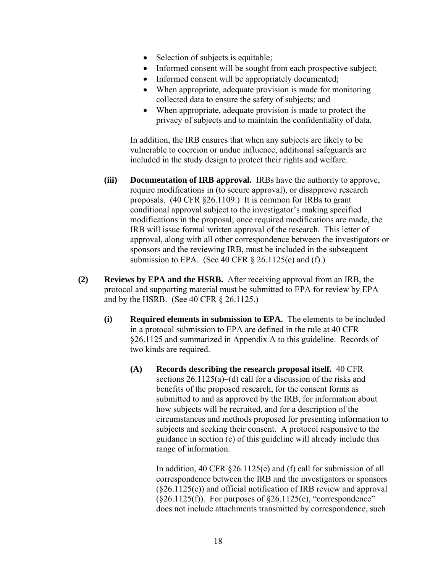- Selection of subjects is equitable;
- Informed consent will be sought from each prospective subject;
- Informed consent will be appropriately documented;
- When appropriate, adequate provision is made for monitoring collected data to ensure the safety of subjects; and
- When appropriate, adequate provision is made to protect the privacy of subjects and to maintain the confidentiality of data.

In addition, the IRB ensures that when any subjects are likely to be vulnerable to coercion or undue influence, additional safeguards are included in the study design to protect their rights and welfare.

- **(iii) Documentation of IRB approval.** IRBs have the authority to approve, require modifications in (to secure approval), or disapprove research proposals. (40 CFR §26.1109.) It is common for IRBs to grant conditional approval subject to the investigator's making specified modifications in the proposal; once required modifications are made, the IRB will issue formal written approval of the research. This letter of approval, along with all other correspondence between the investigators or sponsors and the reviewing IRB, must be included in the subsequent submission to EPA. (See 40 CFR  $\S$  26.1125(e) and (f).)
- **(2) Reviews by EPA and the HSRB.** After receiving approval from an IRB, the protocol and supporting material must be submitted to EPA for review by EPA and by the HSRB. (See 40 CFR § 26.1125.)
	- **(i) Required elements in submission to EPA.** The elements to be included in a protocol submission to EPA are defined in the rule at 40 CFR §26.1125 and summarized in Appendix A to this guideline. Records of two kinds are required.
		- **(A) Records describing the research proposal itself.** 40 CFR sections 26.1125(a)–(d) call for a discussion of the risks and benefits of the proposed research, for the consent forms as submitted to and as approved by the IRB, for information about how subjects will be recruited, and for a description of the circumstances and methods proposed for presenting information to subjects and seeking their consent. A protocol responsive to the guidance in section (c) of this guideline will already include this range of information.

In addition, 40 CFR §26.1125(e) and (f) call for submission of all correspondence between the IRB and the investigators or sponsors (§26.1125(e)) and official notification of IRB review and approval  $(\$26.1125(f))$ . For purposes of  $\$26.1125(e)$ , "correspondence" does not include attachments transmitted by correspondence, such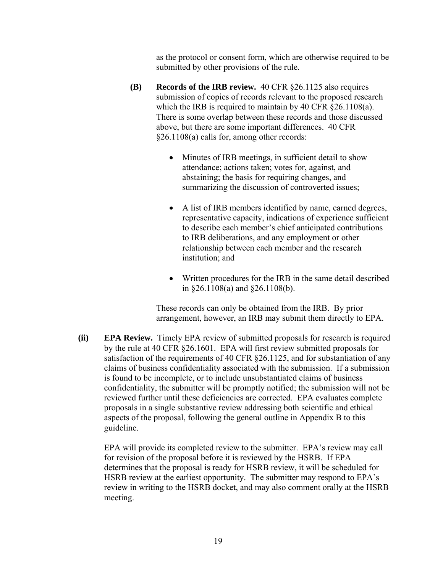as the protocol or consent form, which are otherwise required to be submitted by other provisions of the rule.

- **(B) Records of the IRB review.** 40 CFR §26.1125 also requires submission of copies of records relevant to the proposed research which the IRB is required to maintain by 40 CFR §26.1108(a). There is some overlap between these records and those discussed above, but there are some important differences. 40 CFR §26.1108(a) calls for, among other records:
	- Minutes of IRB meetings, in sufficient detail to show attendance; actions taken; votes for, against, and abstaining; the basis for requiring changes, and summarizing the discussion of controverted issues;
	- A list of IRB members identified by name, earned degrees, representative capacity, indications of experience sufficient to describe each member's chief anticipated contributions to IRB deliberations, and any employment or other relationship between each member and the research institution; and
	- Written procedures for the IRB in the same detail described in §26.1108(a) and §26.1108(b).

These records can only be obtained from the IRB. By prior arrangement, however, an IRB may submit them directly to EPA.

**(ii) EPA Review.** Timely EPA review of submitted proposals for research is required by the rule at 40 CFR §26.1601. EPA will first review submitted proposals for satisfaction of the requirements of 40 CFR §26.1125, and for substantiation of any claims of business confidentiality associated with the submission. If a submission is found to be incomplete, or to include unsubstantiated claims of business confidentiality, the submitter will be promptly notified; the submission will not be reviewed further until these deficiencies are corrected. EPA evaluates complete proposals in a single substantive review addressing both scientific and ethical aspects of the proposal, following the general outline in Appendix B to this guideline.

EPA will provide its completed review to the submitter. EPA's review may call for revision of the proposal before it is reviewed by the HSRB. If EPA determines that the proposal is ready for HSRB review, it will be scheduled for HSRB review at the earliest opportunity. The submitter may respond to EPA's review in writing to the HSRB docket, and may also comment orally at the HSRB meeting.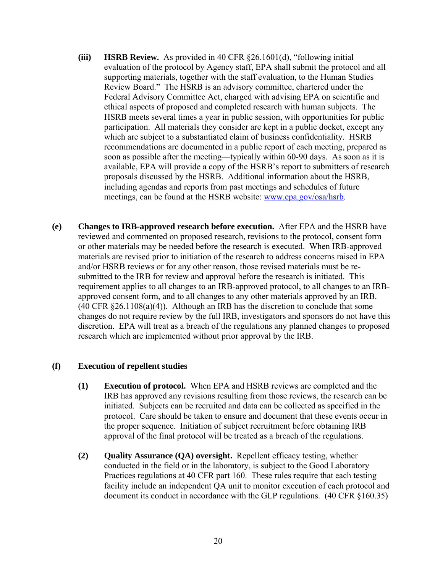- **(iii) HSRB Review.** As provided in 40 CFR §26.1601(d), "following initial evaluation of the protocol by Agency staff, EPA shall submit the protocol and all supporting materials, together with the staff evaluation, to the Human Studies Review Board." The HSRB is an advisory committee, chartered under the Federal Advisory Committee Act, charged with advising EPA on scientific and ethical aspects of proposed and completed research with human subjects. The HSRB meets several times a year in public session, with opportunities for public participation. All materials they consider are kept in a public docket, except any which are subject to a substantiated claim of business confidentiality. HSRB recommendations are documented in a public report of each meeting, prepared as soon as possible after the meeting—typically within 60-90 days. As soon as it is available, EPA will provide a copy of the HSRB's report to submitters of research proposals discussed by the HSRB. Additional information about the HSRB, including agendas and reports from past meetings and schedules of future meetings, can be found at the HSRB website: [www.epa.gov/osa/hsrb.](http://www.epa.gov/osa/hsrb)
- **(e) Changes to IRB-approved research before execution.** After EPA and the HSRB have reviewed and commented on proposed research, revisions to the protocol, consent form or other materials may be needed before the research is executed. When IRB-approved materials are revised prior to initiation of the research to address concerns raised in EPA and/or HSRB reviews or for any other reason, those revised materials must be resubmitted to the IRB for review and approval before the research is initiated. This requirement applies to all changes to an IRB-approved protocol, to all changes to an IRBapproved consent form, and to all changes to any other materials approved by an IRB.  $(40 \text{ CFR } \S 26.1108(a)(4))$ . Although an IRB has the discretion to conclude that some changes do not require review by the full IRB, investigators and sponsors do not have this discretion. EPA will treat as a breach of the regulations any planned changes to proposed research which are implemented without prior approval by the IRB.

#### **(f) Execution of repellent studies**

- **(1) Execution of protocol.** When EPA and HSRB reviews are completed and the IRB has approved any revisions resulting from those reviews, the research can be initiated. Subjects can be recruited and data can be collected as specified in the protocol. Care should be taken to ensure and document that these events occur in the proper sequence. Initiation of subject recruitment before obtaining IRB approval of the final protocol will be treated as a breach of the regulations.
- **(2) Quality Assurance (QA) oversight.** Repellent efficacy testing, whether conducted in the field or in the laboratory, is subject to the Good Laboratory Practices regulations at 40 CFR part 160. These rules require that each testing facility include an independent QA unit to monitor execution of each protocol and document its conduct in accordance with the GLP regulations. (40 CFR §160.35)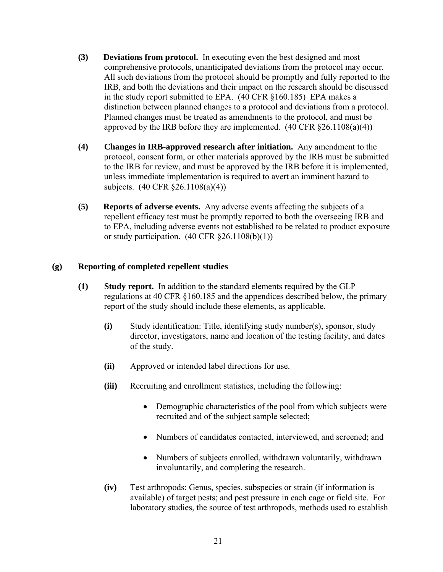- **(3) Deviations from protocol.** In executing even the best designed and most comprehensive protocols, unanticipated deviations from the protocol may occur. All such deviations from the protocol should be promptly and fully reported to the IRB, and both the deviations and their impact on the research should be discussed in the study report submitted to EPA. (40 CFR §160.185) EPA makes a distinction between planned changes to a protocol and deviations from a protocol. Planned changes must be treated as amendments to the protocol, and must be approved by the IRB before they are implemented.  $(40 \text{ CFR } \S 26.1108(a)(4))$
- **(4) Changes in IRB-approved research after initiation.** Any amendment to the protocol, consent form, or other materials approved by the IRB must be submitted to the IRB for review, and must be approved by the IRB before it is implemented, unless immediate implementation is required to avert an imminent hazard to subjects. (40 CFR §26.1108(a)(4))
- **(5) Reports of adverse events.** Any adverse events affecting the subjects of a repellent efficacy test must be promptly reported to both the overseeing IRB and to EPA, including adverse events not established to be related to product exposure or study participation.  $(40 \text{ CFR } \S 26.1108(b)(1))$

#### **(g) Reporting of completed repellent studies**

- **(1) Study report.** In addition to the standard elements required by the GLP regulations at 40 CFR §160.185 and the appendices described below, the primary report of the study should include these elements, as applicable.
	- **(i)** Study identification: Title, identifying study number(s), sponsor, study director, investigators, name and location of the testing facility, and dates of the study.
	- **(ii)** Approved or intended label directions for use.
	- **(iii)** Recruiting and enrollment statistics, including the following:
		- Demographic characteristics of the pool from which subjects were recruited and of the subject sample selected;
		- Numbers of candidates contacted, interviewed, and screened; and
		- Numbers of subjects enrolled, withdrawn voluntarily, withdrawn involuntarily, and completing the research.
	- **(iv)** Test arthropods: Genus, species, subspecies or strain (if information is available) of target pests; and pest pressure in each cage or field site. For laboratory studies, the source of test arthropods, methods used to establish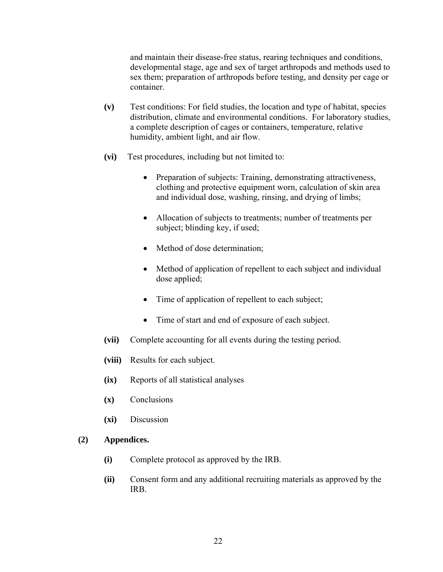and maintain their disease-free status, rearing techniques and conditions, developmental stage, age and sex of target arthropods and methods used to sex them; preparation of arthropods before testing, and density per cage or container.

- **(v)** Test conditions: For field studies, the location and type of habitat, species distribution, climate and environmental conditions. For laboratory studies, a complete description of cages or containers, temperature, relative humidity, ambient light, and air flow.
- **(vi)** Test procedures, including but not limited to:
	- Preparation of subjects: Training, demonstrating attractiveness, clothing and protective equipment worn, calculation of skin area and individual dose, washing, rinsing, and drying of limbs;
	- Allocation of subjects to treatments; number of treatments per subject; blinding key, if used;
	- Method of dose determination;
	- Method of application of repellent to each subject and individual dose applied;
	- Time of application of repellent to each subject;
	- Time of start and end of exposure of each subject.
- **(vii)** Complete accounting for all events during the testing period.
- **(viii)** Results for each subject.
- **(ix)** Reports of all statistical analyses
- **(x)** Conclusions
- **(xi)** Discussion

#### **(2) Appendices.**

- **(i)** Complete protocol as approved by the IRB.
- **(ii)** Consent form and any additional recruiting materials as approved by the IRB.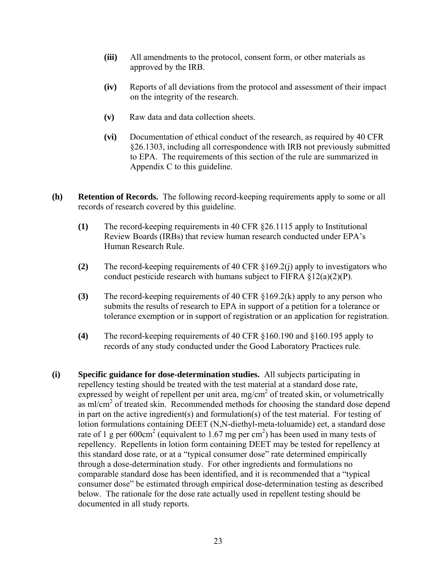- **(iii)** All amendments to the protocol, consent form, or other materials as approved by the IRB.
- **(iv)** Reports of all deviations from the protocol and assessment of their impact on the integrity of the research.
- **(v)** Raw data and data collection sheets.
- **(vi)** Documentation of ethical conduct of the research, as required by 40 CFR §26.1303, including all correspondence with IRB not previously submitted to EPA. The requirements of this section of the rule are summarized in Appendix C to this guideline.
- **(h) Retention of Records.** The following record-keeping requirements apply to some or all records of research covered by this guideline.
	- **(1)** The record-keeping requirements in 40 CFR §26.1115 apply to Institutional Review Boards (IRBs) that review human research conducted under EPA's Human Research Rule.
	- **(2)** The record-keeping requirements of 40 CFR §169.2(j) apply to investigators who conduct pesticide research with humans subject to FIFRA  $\S 12(a)(2)(P)$ .
	- **(3)** The record-keeping requirements of 40 CFR §169.2(k) apply to any person who submits the results of research to EPA in support of a petition for a tolerance or tolerance exemption or in support of registration or an application for registration.
	- **(4)** The record-keeping requirements of 40 CFR §160.190 and §160.195 apply to records of any study conducted under the Good Laboratory Practices rule.
- **(i) Specific guidance for dose-determination studies.** All subjects participating in repellency testing should be treated with the test material at a standard dose rate, expressed by weight of repellent per unit area, mg/cm<sup>2</sup> of treated skin, or volumetrically as ml/cm<sup>2</sup> of treated skin. Recommended methods for choosing the standard dose depend in part on the active ingredient(s) and formulation(s) of the test material. For testing of lotion formulations containing DEET (N,N-diethyl-meta-toluamide) eet, a standard dose rate of 1 g per 600cm<sup>2</sup> (equivalent to 1.67 mg per cm<sup>2</sup>) has been used in many tests of repellency. Repellents in lotion form containing DEET may be tested for repellency at this standard dose rate, or at a "typical consumer dose" rate determined empirically through a dose-determination study. For other ingredients and formulations no comparable standard dose has been identified, and it is recommended that a "typical consumer dose" be estimated through empirical dose-determination testing as described below. The rationale for the dose rate actually used in repellent testing should be documented in all study reports.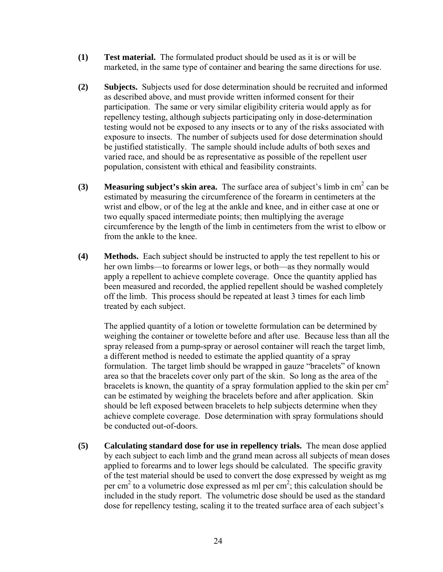- **(1) Test material.** The formulated product should be used as it is or will be marketed, in the same type of container and bearing the same directions for use.
- **(2) Subjects.** Subjects used for dose determination should be recruited and informed as described above, and must provide written informed consent for their participation. The same or very similar eligibility criteria would apply as for repellency testing, although subjects participating only in dose-determination testing would not be exposed to any insects or to any of the risks associated with exposure to insects. The number of subjects used for dose determination should be justified statistically. The sample should include adults of both sexes and varied race, and should be as representative as possible of the repellent user population, consistent with ethical and feasibility constraints.
- **(3)** Measuring subject's skin area. The surface area of subject's limb in  $\text{cm}^2$  can be estimated by measuring the circumference of the forearm in centimeters at the wrist and elbow, or of the leg at the ankle and knee, and in either case at one or two equally spaced intermediate points; then multiplying the average circumference by the length of the limb in centimeters from the wrist to elbow or from the ankle to the knee.
- **(4) Methods.** Each subject should be instructed to apply the test repellent to his or her own limbs—to forearms or lower legs, or both—as they normally would apply a repellent to achieve complete coverage. Once the quantity applied has been measured and recorded, the applied repellent should be washed completely off the limb. This process should be repeated at least 3 times for each limb treated by each subject.

The applied quantity of a lotion or towelette formulation can be determined by weighing the container or towelette before and after use. Because less than all the spray released from a pump-spray or aerosol container will reach the target limb, a different method is needed to estimate the applied quantity of a spray formulation. The target limb should be wrapped in gauze "bracelets" of known area so that the bracelets cover only part of the skin. So long as the area of the bracelets is known, the quantity of a spray formulation applied to the skin per  $cm<sup>2</sup>$ can be estimated by weighing the bracelets before and after application. Skin should be left exposed between bracelets to help subjects determine when they achieve complete coverage. Dose determination with spray formulations should be conducted out-of-doors.

**(5) Calculating standard dose for use in repellency trials.** The mean dose applied by each subject to each limb and the grand mean across all subjects of mean doses applied to forearms and to lower legs should be calculated. The specific gravity of the test material should be used to convert the dose expressed by weight as mg per cm<sup>2</sup> to a volumetric dose expressed as ml per cm<sup>2</sup>; this calculation should be included in the study report. The volumetric dose should be used as the standard dose for repellency testing, scaling it to the treated surface area of each subject's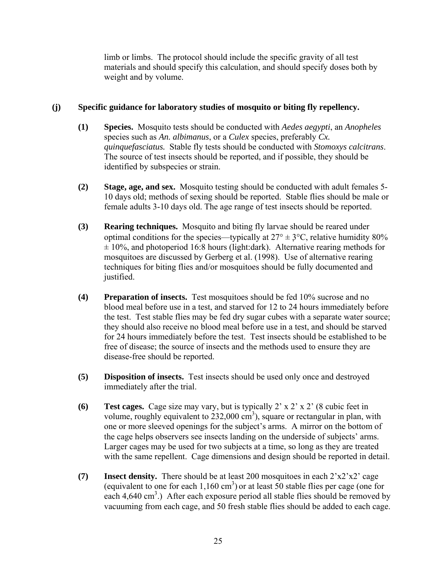limb or limbs. The protocol should include the specific gravity of all test materials and should specify this calculation, and should specify doses both by weight and by volume.

## **(j) Specific guidance for laboratory studies of mosquito or biting fly repellency.**

- **(1) Species.** Mosquito tests should be conducted with *Aedes aegypti*, an *Anopheles* species such as *An. albimanus*, or a *Culex* species, preferably *Cx. quinquefasciatus.* Stable fly tests should be conducted with *Stomoxys calcitrans*. The source of test insects should be reported, and if possible, they should be identified by subspecies or strain.
- **(2) Stage, age, and sex.** Mosquito testing should be conducted with adult females 5- 10 days old; methods of sexing should be reported. Stable flies should be male or female adults 3-10 days old. The age range of test insects should be reported.
- **(3) Rearing techniques.** Mosquito and biting fly larvae should be reared under optimal conditions for the species—typically at  $27^{\circ} \pm 3^{\circ}$ C, relative humidity 80%  $\pm$  10%, and photoperiod 16:8 hours (light:dark). Alternative rearing methods for mosquitoes are discussed by Gerberg et al. (1998). Use of alternative rearing techniques for biting flies and/or mosquitoes should be fully documented and justified.
- **(4) Preparation of insects.** Test mosquitoes should be fed 10% sucrose and no blood meal before use in a test, and starved for 12 to 24 hours immediately before the test. Test stable flies may be fed dry sugar cubes with a separate water source; they should also receive no blood meal before use in a test, and should be starved for 24 hours immediately before the test. Test insects should be established to be free of disease; the source of insects and the methods used to ensure they are disease-free should be reported.
- **(5) Disposition of insects.** Test insects should be used only once and destroyed immediately after the trial.
- **(6) Test cages.** Cage size may vary, but is typically 2' x 2' x 2' (8 cubic feet in volume, roughly equivalent to  $232,000 \text{ cm}^3$ ), square or rectangular in plan, with one or more sleeved openings for the subject's arms. A mirror on the bottom of the cage helps observers see insects landing on the underside of subjects' arms. Larger cages may be used for two subjects at a time, so long as they are treated with the same repellent. Cage dimensions and design should be reported in detail.
- **(7) Insect density.** There should be at least 200 mosquitoes in each 2'x2'x2' cage (equivalent to one for each  $1,160 \text{ cm}^3$ ) or at least 50 stable flies per cage (one for each 4,640 cm<sup>3</sup>.) After each exposure period all stable flies should be removed by vacuuming from each cage, and 50 fresh stable flies should be added to each cage.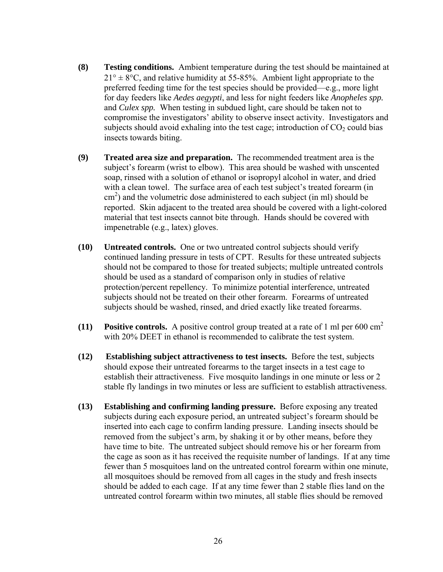- **(8) Testing conditions.** Ambient temperature during the test should be maintained at  $21^{\circ}$  ± 8°C, and relative humidity at 55-85%. Ambient light appropriate to the preferred feeding time for the test species should be provided—e.g., more light for day feeders like *Aedes aegypti*, and less for night feeders like *Anopheles spp.* and *Culex spp.* When testing in subdued light, care should be taken not to compromise the investigators' ability to observe insect activity. Investigators and subjects should avoid exhaling into the test cage; introduction of  $CO<sub>2</sub>$  could bias insects towards biting.
- **(9) Treated area size and preparation.** The recommended treatment area is the subject's forearm (wrist to elbow). This area should be washed with unscented soap, rinsed with a solution of ethanol or isopropyl alcohol in water, and dried with a clean towel. The surface area of each test subject's treated forearm (in  $\text{cm}^2$ ) and the volumetric dose administered to each subject (in ml) should be reported. Skin adjacent to the treated area should be covered with a light-colored material that test insects cannot bite through. Hands should be covered with impenetrable (e.g., latex) gloves.
- **(10) Untreated controls.** One or two untreated control subjects should verify continued landing pressure in tests of CPT. Results for these untreated subjects should not be compared to those for treated subjects; multiple untreated controls should be used as a standard of comparison only in studies of relative protection/percent repellency. To minimize potential interference, untreated subjects should not be treated on their other forearm. Forearms of untreated subjects should be washed, rinsed, and dried exactly like treated forearms.
- **(11) Positive controls.** A positive control group treated at a rate of 1 ml per 600 cm2 with 20% DEET in ethanol is recommended to calibrate the test system.
- **(12) Establishing subject attractiveness to test insects.** Before the test, subjects should expose their untreated forearms to the target insects in a test cage to establish their attractiveness. Five mosquito landings in one minute or less or 2 stable fly landings in two minutes or less are sufficient to establish attractiveness.
- **(13) Establishing and confirming landing pressure.** Before exposing any treated subjects during each exposure period, an untreated subject's forearm should be inserted into each cage to confirm landing pressure. Landing insects should be removed from the subject's arm, by shaking it or by other means, before they have time to bite. The untreated subject should remove his or her forearm from the cage as soon as it has received the requisite number of landings. If at any time fewer than 5 mosquitoes land on the untreated control forearm within one minute, all mosquitoes should be removed from all cages in the study and fresh insects should be added to each cage. If at any time fewer than 2 stable flies land on the untreated control forearm within two minutes, all stable flies should be removed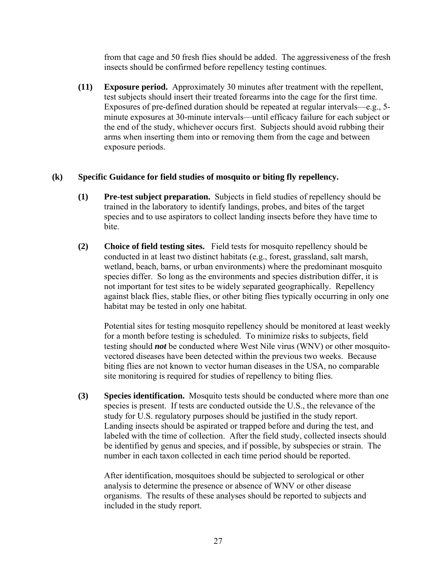from that cage and 50 fresh flies should be added. The aggressiveness of the fresh insects should be confirmed before repellency testing continues.

**(11) Exposure period.** Approximately 30 minutes after treatment with the repellent, test subjects should insert their treated forearms into the cage for the first time. Exposures of pre-defined duration should be repeated at regular intervals—e.g., 5 minute exposures at 30-minute intervals—until efficacy failure for each subject or the end of the study, whichever occurs first. Subjects should avoid rubbing their arms when inserting them into or removing them from the cage and between exposure periods.

#### **(k) Specific Guidance for field studies of mosquito or biting fly repellency.**

- **(1) Pre-test subject preparation.** Subjects in field studies of repellency should be trained in the laboratory to identify landings, probes, and bites of the target species and to use aspirators to collect landing insects before they have time to bite.
- **(2) Choice of field testing sites.** Field tests for mosquito repellency should be conducted in at least two distinct habitats (e.g., forest, grassland, salt marsh, wetland, beach, barns, or urban environments) where the predominant mosquito species differ. So long as the environments and species distribution differ, it is not important for test sites to be widely separated geographically. Repellency against black flies, stable flies, or other biting flies typically occurring in only one habitat may be tested in only one habitat.

Potential sites for testing mosquito repellency should be monitored at least weekly for a month before testing is scheduled. To minimize risks to subjects, field testing should *not* be conducted where West Nile virus (WNV) or other mosquitovectored diseases have been detected within the previous two weeks. Because biting flies are not known to vector human diseases in the USA, no comparable site monitoring is required for studies of repellency to biting flies.

**(3) Species identification.** Mosquito tests should be conducted where more than one species is present. If tests are conducted outside the U.S., the relevance of the study for U.S. regulatory purposes should be justified in the study report. Landing insects should be aspirated or trapped before and during the test, and labeled with the time of collection. After the field study, collected insects should be identified by genus and species, and if possible, by subspecies or strain. The number in each taxon collected in each time period should be reported.

After identification, mosquitoes should be subjected to serological or other analysis to determine the presence or absence of WNV or other disease organisms. The results of these analyses should be reported to subjects and included in the study report.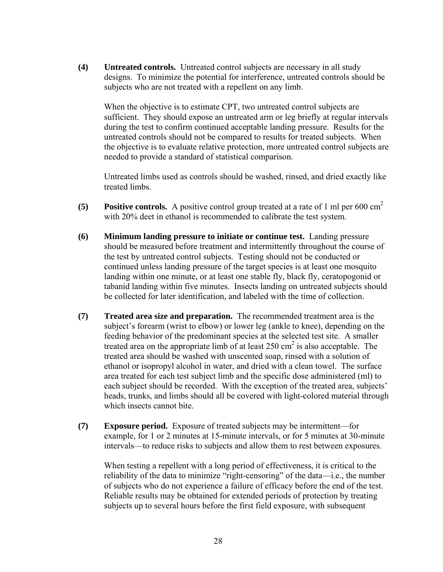**(4) Untreated controls.** Untreated control subjects are necessary in all study designs. To minimize the potential for interference, untreated controls should be subjects who are not treated with a repellent on any limb.

When the objective is to estimate CPT, two untreated control subjects are sufficient. They should expose an untreated arm or leg briefly at regular intervals during the test to confirm continued acceptable landing pressure. Results for the untreated controls should not be compared to results for treated subjects. When the objective is to evaluate relative protection, more untreated control subjects are needed to provide a standard of statistical comparison.

Untreated limbs used as controls should be washed, rinsed, and dried exactly like treated limbs.

- **(5) Positive controls.** A positive control group treated at a rate of 1 ml per 600 cm2 with 20% deet in ethanol is recommended to calibrate the test system.
- **(6) Minimum landing pressure to initiate or continue test.** Landing pressure should be measured before treatment and intermittently throughout the course of the test by untreated control subjects. Testing should not be conducted or continued unless landing pressure of the target species is at least one mosquito landing within one minute, or at least one stable fly, black fly, ceratopogonid or tabanid landing within five minutes. Insects landing on untreated subjects should be collected for later identification, and labeled with the time of collection.
- **(7) Treated area size and preparation.** The recommended treatment area is the subject's forearm (wrist to elbow) or lower leg (ankle to knee), depending on the feeding behavior of the predominant species at the selected test site. A smaller treated area on the appropriate limb of at least  $250 \text{ cm}^2$  is also acceptable. The treated area should be washed with unscented soap, rinsed with a solution of ethanol or isopropyl alcohol in water, and dried with a clean towel. The surface area treated for each test subject limb and the specific dose administered (ml) to each subject should be recorded. With the exception of the treated area, subjects' heads, trunks, and limbs should all be covered with light-colored material through which insects cannot bite.
- **(7) Exposure period.** Exposure of treated subjects may be intermittent—for example, for 1 or 2 minutes at 15-minute intervals, or for 5 minutes at 30-minute intervals—to reduce risks to subjects and allow them to rest between exposures.

When testing a repellent with a long period of effectiveness, it is critical to the reliability of the data to minimize "right-censoring" of the data—i.e., the number of subjects who do not experience a failure of efficacy before the end of the test. Reliable results may be obtained for extended periods of protection by treating subjects up to several hours before the first field exposure, with subsequent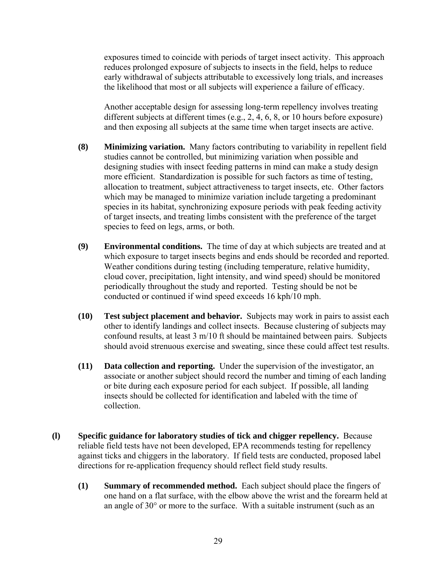exposures timed to coincide with periods of target insect activity. This approach reduces prolonged exposure of subjects to insects in the field, helps to reduce early withdrawal of subjects attributable to excessively long trials, and increases the likelihood that most or all subjects will experience a failure of efficacy.

Another acceptable design for assessing long-term repellency involves treating different subjects at different times (e.g., 2, 4, 6, 8, or 10 hours before exposure) and then exposing all subjects at the same time when target insects are active.

- **(8) Minimizing variation.** Many factors contributing to variability in repellent field studies cannot be controlled, but minimizing variation when possible and designing studies with insect feeding patterns in mind can make a study design more efficient. Standardization is possible for such factors as time of testing, allocation to treatment, subject attractiveness to target insects, etc. Other factors which may be managed to minimize variation include targeting a predominant species in its habitat, synchronizing exposure periods with peak feeding activity of target insects, and treating limbs consistent with the preference of the target species to feed on legs, arms, or both.
- **(9) Environmental conditions.** The time of day at which subjects are treated and at which exposure to target insects begins and ends should be recorded and reported. Weather conditions during testing (including temperature, relative humidity, cloud cover, precipitation, light intensity, and wind speed) should be monitored periodically throughout the study and reported. Testing should be not be conducted or continued if wind speed exceeds 16 kph/10 mph.
- **(10) Test subject placement and behavior.** Subjects may work in pairs to assist each other to identify landings and collect insects. Because clustering of subjects may confound results, at least 3 m/10 ft should be maintained between pairs. Subjects should avoid strenuous exercise and sweating, since these could affect test results.
- **(11) Data collection and reporting.** Under the supervision of the investigator, an associate or another subject should record the number and timing of each landing or bite during each exposure period for each subject. If possible, all landing insects should be collected for identification and labeled with the time of collection.
- **(l) Specific guidance for laboratory studies of tick and chigger repellency.** Because reliable field tests have not been developed, EPA recommends testing for repellency against ticks and chiggers in the laboratory. If field tests are conducted, proposed label directions for re-application frequency should reflect field study results.
	- **(1) Summary of recommended method.** Each subject should place the fingers of one hand on a flat surface, with the elbow above the wrist and the forearm held at an angle of 30° or more to the surface. With a suitable instrument (such as an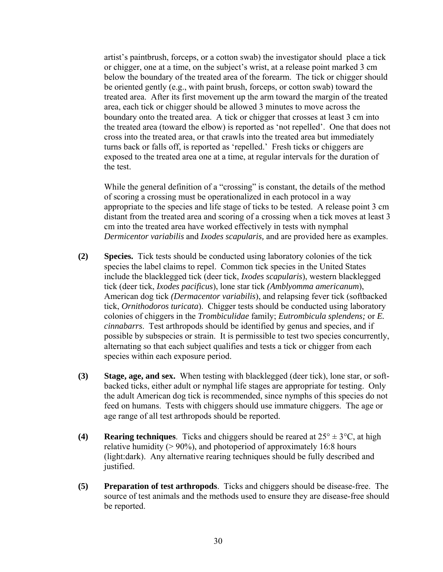artist's paintbrush, forceps, or a cotton swab) the investigator should place a tick or chigger, one at a time, on the subject's wrist, at a release point marked 3 cm below the boundary of the treated area of the forearm. The tick or chigger should be oriented gently (e.g., with paint brush, forceps, or cotton swab) toward the treated area. After its first movement up the arm toward the margin of the treated area, each tick or chigger should be allowed 3 minutes to move across the boundary onto the treated area. A tick or chigger that crosses at least 3 cm into the treated area (toward the elbow) is reported as 'not repelled'. One that does not cross into the treated area, or that crawls into the treated area but immediately turns back or falls off, is reported as 'repelled.' Fresh ticks or chiggers are exposed to the treated area one at a time, at regular intervals for the duration of the test.

While the general definition of a "crossing" is constant, the details of the method of scoring a crossing must be operationalized in each protocol in a way appropriate to the species and life stage of ticks to be tested. A release point 3 cm distant from the treated area and scoring of a crossing when a tick moves at least 3 cm into the treated area have worked effectively in tests with nymphal *Dermicentor variabilis* and *Ixodes scapularis,* and are provided here as examples.

- **(2) Species.** Tick tests should be conducted using laboratory colonies of the tick species the label claims to repel. Common tick species in the United States include the blacklegged tick (deer tick, *Ixodes scapularis*), western blacklegged tick (deer tick, *Ixodes pacificus*), lone star tick *(Amblyomma americanum*), American dog tick *(Dermacentor variabilis*), and relapsing fever tick (softbacked tick, *Ornithodoros turicata*). Chigger tests should be conducted using laboratory colonies of chiggers in the *Trombiculidae* family; *Eutrombicula splendens;* or *E. cinnabarrs*. Test arthropods should be identified by genus and species, and if possible by subspecies or strain. It is permissible to test two species concurrently, alternating so that each subject qualifies and tests a tick or chigger from each species within each exposure period.
- **(3) Stage, age, and sex.** When testing with blacklegged (deer tick), lone star, or softbacked ticks, either adult or nymphal life stages are appropriate for testing. Only the adult American dog tick is recommended, since nymphs of this species do not feed on humans. Tests with chiggers should use immature chiggers. The age or age range of all test arthropods should be reported.
- **(4)** Rearing techniques. Ticks and chiggers should be reared at  $25^{\circ} \pm 3^{\circ}C$ , at high relative humidity (> 90%), and photoperiod of approximately 16:8 hours (light:dark). Any alternative rearing techniques should be fully described and justified.
- **(5) Preparation of test arthropods**. Ticks and chiggers should be disease-free. The source of test animals and the methods used to ensure they are disease-free should be reported.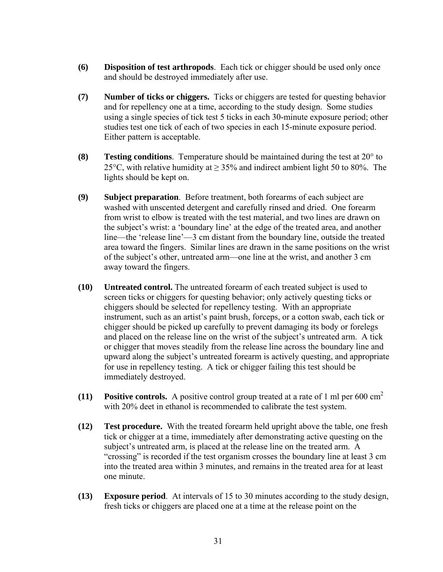- **(6) Disposition of test arthropods**. Each tick or chigger should be used only once and should be destroyed immediately after use.
- **(7) Number of ticks or chiggers.** Ticks or chiggers are tested for questing behavior and for repellency one at a time, according to the study design. Some studies using a single species of tick test 5 ticks in each 30-minute exposure period; other studies test one tick of each of two species in each 15-minute exposure period. Either pattern is acceptable.
- **(8) Testing conditions**. Temperature should be maintained during the test at 20° to 25 $\degree$ C, with relative humidity at  $> 35\%$  and indirect ambient light 50 to 80%. The lights should be kept on.
- **(9) Subject preparation**. Before treatment, both forearms of each subject are washed with unscented detergent and carefully rinsed and dried. One forearm from wrist to elbow is treated with the test material, and two lines are drawn on the subject's wrist: a 'boundary line' at the edge of the treated area, and another line—the 'release line'—3 cm distant from the boundary line, outside the treated area toward the fingers. Similar lines are drawn in the same positions on the wrist of the subject's other, untreated arm—one line at the wrist, and another 3 cm away toward the fingers.
- **(10) Untreated control.** The untreated forearm of each treated subject is used to screen ticks or chiggers for questing behavior; only actively questing ticks or chiggers should be selected for repellency testing. With an appropriate instrument, such as an artist's paint brush, forceps, or a cotton swab, each tick or chigger should be picked up carefully to prevent damaging its body or forelegs and placed on the release line on the wrist of the subject's untreated arm. A tick or chigger that moves steadily from the release line across the boundary line and upward along the subject's untreated forearm is actively questing, and appropriate for use in repellency testing. A tick or chigger failing this test should be immediately destroyed.
- **(11) Positive controls.** A positive control group treated at a rate of 1 ml per 600 cm2 with 20% deet in ethanol is recommended to calibrate the test system.
- **(12) Test procedure.** With the treated forearm held upright above the table, one fresh tick or chigger at a time, immediately after demonstrating active questing on the subject's untreated arm, is placed at the release line on the treated arm. A "crossing" is recorded if the test organism crosses the boundary line at least 3 cm into the treated area within 3 minutes, and remains in the treated area for at least one minute.
- **(13) Exposure period**. At intervals of 15 to 30 minutes according to the study design, fresh ticks or chiggers are placed one at a time at the release point on the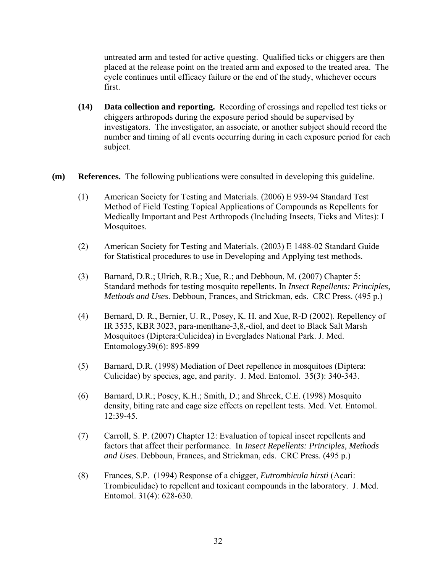untreated arm and tested for active questing. Qualified ticks or chiggers are then placed at the release point on the treated arm and exposed to the treated area. The cycle continues until efficacy failure or the end of the study, whichever occurs first.

- **(14) Data collection and reporting.** Recording of crossings and repelled test ticks or chiggers arthropods during the exposure period should be supervised by investigators. The investigator, an associate, or another subject should record the number and timing of all events occurring during in each exposure period for each subject.
- **(m) References.** The following publications were consulted in developing this guideline.
	- (1) American Society for Testing and Materials. (2006) E 939-94 Standard Test Method of Field Testing Topical Applications of Compounds as Repellents for Medically Important and Pest Arthropods (Including Insects, Ticks and Mites): I Mosquitoes.
	- (2) American Society for Testing and Materials. (2003) E 1488-02 Standard Guide for Statistical procedures to use in Developing and Applying test methods.
	- (3) Barnard, D.R.; Ulrich, R.B.; Xue, R.; and Debboun, M. (2007) Chapter 5: Standard methods for testing mosquito repellents. In *Insect Repellents: Principles, Methods and Uses*. Debboun, Frances, and Strickman, eds. CRC Press. (495 p.)
	- (4) Bernard, D. R., Bernier, U. R., Posey, K. H. and Xue, R-D (2002). Repellency of IR 3535, KBR 3023, para-menthane-3,8,-diol, and deet to Black Salt Marsh Mosquitoes (Diptera:Culicidea) in Everglades National Park. J. Med. Entomology39(6): 895-899
	- (5) Barnard, D.R. (1998) Mediation of Deet repellence in mosquitoes (Diptera: Culicidae) by species, age, and parity. J. Med. Entomol. 35(3): 340-343.
	- (6) Barnard, D.R.; Posey, K.H.; Smith, D.; and Shreck, C.E. (1998) Mosquito density, biting rate and cage size effects on repellent tests. Med. Vet. Entomol. 12:39-45.
	- (7) Carroll, S. P. (2007) Chapter 12: Evaluation of topical insect repellents and factors that affect their performance. In *Insect Repellents: Principles, Methods and Uses*. Debboun, Frances, and Strickman, eds. CRC Press. (495 p.)
	- (8) Frances, S.P. (1994) Response of a chigger, *Eutrombicula hirsti* (Acari: Trombiculidae) to repellent and toxicant compounds in the laboratory. J. Med. Entomol. 31(4): 628-630.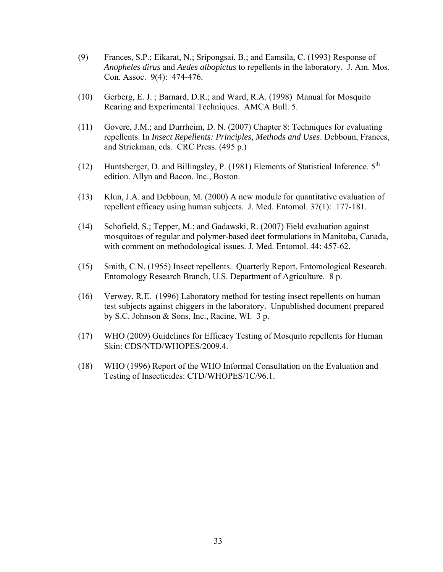- (9) Frances, S.P.; Eikarat, N.; Sripongsai, B.; and Eamsila, C. (1993) Response of *Anopheles dirus* and *Aedes albopictus* to repellents in the laboratory. J. Am. Mos. Con. Assoc. 9(4): 474-476.
- (10) Gerberg, E. J. ; Barnard, D.R.; and Ward, R.A. (1998) Manual for Mosquito Rearing and Experimental Techniques. AMCA Bull. 5.
- (11) Govere, J.M.; and Durrheim, D. N. (2007) Chapter 8: Techniques for evaluating repellents. In *Insect Repellents: Principles, Methods and Uses*. Debboun, Frances, and Strickman, eds. CRC Press. (495 p.)
- (12) Huntsberger, D. and Billingsley, P. (1981) Elements of Statistical Inference. 5<sup>th</sup> edition. Allyn and Bacon. Inc., Boston.
- (13) Klun, J.A. and Debboun, M. (2000) A new module for quantitative evaluation of repellent efficacy using human subjects. J. Med. Entomol. 37(1): 177-181.
- (14) Schofield, S.; Tepper, M.; and Gadawski, R. (2007) Field evaluation against mosquitoes of regular and polymer-based deet formulations in Manitoba, Canada, with comment on methodological issues. J. Med. Entomol. 44: 457-62.
- (15) Smith, C.N. (1955) Insect repellents. Quarterly Report, Entomological Research. Entomology Research Branch, U.S. Department of Agriculture. 8 p.
- (16) Verwey, R.E. (1996) Laboratory method for testing insect repellents on human test subjects against chiggers in the laboratory. Unpublished document prepared by S.C. Johnson & Sons, Inc., Racine, WI. 3 p.
- (17) WHO (2009) Guidelines for Efficacy Testing of Mosquito repellents for Human Skin: CDS/NTD/WHOPES/2009.4.
- (18) WHO (1996) Report of the WHO Informal Consultation on the Evaluation and Testing of Insecticides: CTD/WHOPES/1C/96.1.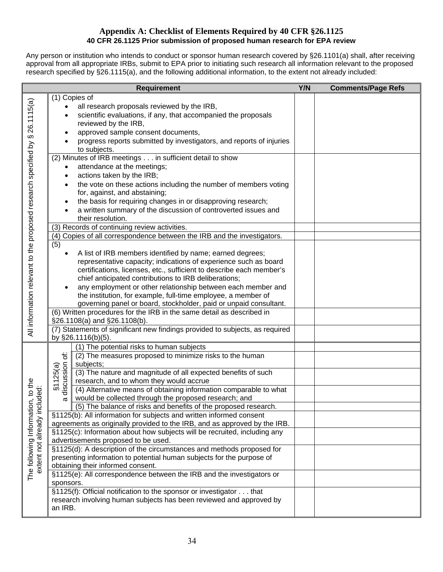#### **Appendix A: Checklist of Elements Required by 40 CFR §26.1125 40 CFR 26.1125 Prior submission of proposed human research for EPA review**

Any person or institution who intends to conduct or sponsor human research covered by §26.1101(a) shall, after receiving approval from all appropriate IRBs, submit to EPA prior to initiating such research all information relevant to the proposed research specified by §26.1115(a), and the following additional information, to the extent not already included:

|                                                                             | <b>Requirement</b>                                                           | Y/N | <b>Comments/Page Refs</b> |
|-----------------------------------------------------------------------------|------------------------------------------------------------------------------|-----|---------------------------|
|                                                                             | (1) Copies of                                                                |     |                           |
|                                                                             | all research proposals reviewed by the IRB,                                  |     |                           |
|                                                                             | scientific evaluations, if any, that accompanied the proposals               |     |                           |
|                                                                             | reviewed by the IRB,                                                         |     |                           |
|                                                                             | approved sample consent documents,                                           |     |                           |
|                                                                             | progress reports submitted by investigators, and reports of injuries         |     |                           |
|                                                                             | to subjects.                                                                 |     |                           |
|                                                                             | (2) Minutes of IRB meetings in sufficient detail to show                     |     |                           |
|                                                                             | attendance at the meetings;                                                  |     |                           |
|                                                                             | actions taken by the IRB;                                                    |     |                           |
|                                                                             | the vote on these actions including the number of members voting             |     |                           |
|                                                                             | for, against, and abstaining;                                                |     |                           |
|                                                                             | the basis for requiring changes in or disapproving research;                 |     |                           |
|                                                                             | a written summary of the discussion of controverted issues and               |     |                           |
|                                                                             | their resolution.                                                            |     |                           |
|                                                                             | (3) Records of continuing review activities.                                 |     |                           |
|                                                                             | (4) Copies of all correspondence between the IRB and the investigators.      |     |                           |
|                                                                             | (5)                                                                          |     |                           |
|                                                                             | A list of IRB members identified by name; earned degrees;                    |     |                           |
|                                                                             | representative capacity; indications of experience such as board             |     |                           |
|                                                                             | certifications, licenses, etc., sufficient to describe each member's         |     |                           |
|                                                                             | chief anticipated contributions to IRB deliberations;                        |     |                           |
|                                                                             | any employment or other relationship between each member and                 |     |                           |
|                                                                             | the institution, for example, full-time employee, a member of                |     |                           |
|                                                                             | governing panel or board, stockholder, paid or unpaid consultant.            |     |                           |
|                                                                             | (6) Written procedures for the IRB in the same detail as described in        |     |                           |
| All information relevant to the proposed research specified by § 26.1115(a) | §26.1108(a) and §26.1108(b).                                                 |     |                           |
|                                                                             | (7) Statements of significant new findings provided to subjects, as required |     |                           |
|                                                                             | by §26.1116(b)(5).                                                           |     |                           |
|                                                                             | (1) The potential risks to human subjects                                    |     |                           |
|                                                                             | ₽<br>(2) The measures proposed to minimize risks to the human                |     |                           |
|                                                                             | subjects;                                                                    |     |                           |
| The following Information, to the<br>extent not already included:           | (3) The nature and magnitude of all expected benefits of such                |     |                           |
|                                                                             | discussion<br>\$1125(a)<br>research, and to whom they would accrue           |     |                           |
|                                                                             | (4) Alternative means of obtaining information comparable to what            |     |                           |
|                                                                             | would be collected through the proposed research; and<br>α                   |     |                           |
|                                                                             | (5) The balance of risks and benefits of the proposed research.              |     |                           |
|                                                                             | §1125(b): All information for subjects and written informed consent          |     |                           |
|                                                                             | agreements as originally provided to the IRB, and as approved by the IRB.    |     |                           |
|                                                                             | §1125(c): Information about how subjects will be recruited, including any    |     |                           |
|                                                                             | advertisements proposed to be used.                                          |     |                           |
|                                                                             | §1125(d): A description of the circumstances and methods proposed for        |     |                           |
|                                                                             | presenting information to potential human subjects for the purpose of        |     |                           |
|                                                                             | obtaining their informed consent.                                            |     |                           |
|                                                                             | §1125(e): All correspondence between the IRB and the investigators or        |     |                           |
|                                                                             | sponsors.                                                                    |     |                           |
|                                                                             | §1125(f): Official notification to the sponsor or investigator that          |     |                           |
|                                                                             | research involving human subjects has been reviewed and approved by          |     |                           |
|                                                                             | an IRB.                                                                      |     |                           |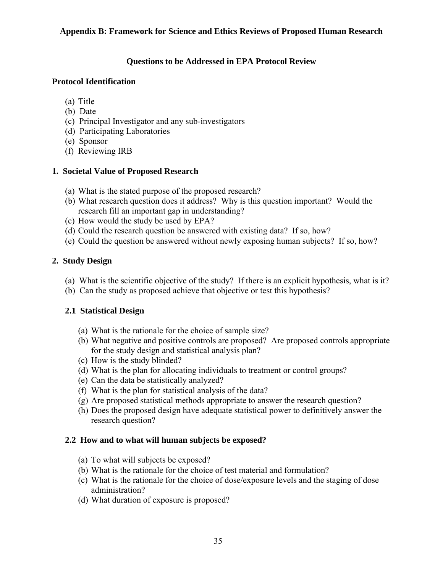#### **Appendix B: Framework for Science and Ethics Reviews of Proposed Human Research**

#### **Questions to be Addressed in EPA Protocol Review**

#### **Protocol Identification**

- (a) Title
- (b) Date
- (c) Principal Investigator and any sub-investigators
- (d) Participating Laboratories
- (e) Sponsor
- (f) Reviewing IRB

#### **1. Societal Value of Proposed Research**

- (a) What is the stated purpose of the proposed research?
- (b) What research question does it address? Why is this question important? Would the research fill an important gap in understanding?
- (c) How would the study be used by EPA?
- (d) Could the research question be answered with existing data? If so, how?
- (e) Could the question be answered without newly exposing human subjects? If so, how?

#### **2. Study Design**

- (a) What is the scientific objective of the study? If there is an explicit hypothesis, what is it?
- (b) Can the study as proposed achieve that objective or test this hypothesis?

#### **2.1 Statistical Design**

- (a) What is the rationale for the choice of sample size?
- (b) What negative and positive controls are proposed? Are proposed controls appropriate for the study design and statistical analysis plan?
- (c) How is the study blinded?
- (d) What is the plan for allocating individuals to treatment or control groups?
- (e) Can the data be statistically analyzed?
- (f) What is the plan for statistical analysis of the data?
- (g) Are proposed statistical methods appropriate to answer the research question?
- (h) Does the proposed design have adequate statistical power to definitively answer the research question?

#### **2.2 How and to what will human subjects be exposed?**

- (a) To what will subjects be exposed?
- (b) What is the rationale for the choice of test material and formulation?
- (c) What is the rationale for the choice of dose/exposure levels and the staging of dose administration?
- (d) What duration of exposure is proposed?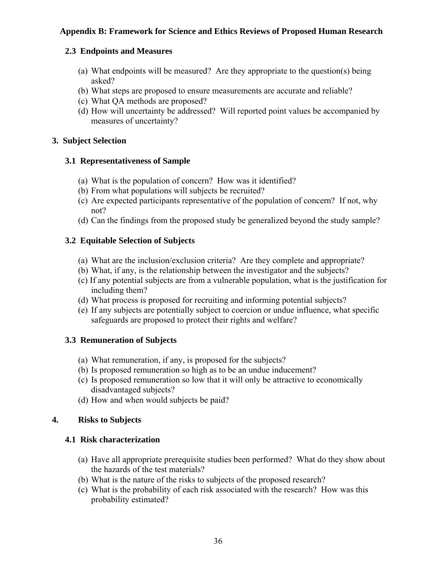## **2.3 Endpoints and Measures**

- (a) What endpoints will be measured? Are they appropriate to the question(s) being asked?
- (b) What steps are proposed to ensure measurements are accurate and reliable?
- (c) What QA methods are proposed?
- (d) How will uncertainty be addressed? Will reported point values be accompanied by measures of uncertainty?

#### **3. Subject Selection**

## **3.1 Representativeness of Sample**

- (a) What is the population of concern? How was it identified?
- (b) From what populations will subjects be recruited?
- (c) Are expected participants representative of the population of concern? If not, why not?
- (d) Can the findings from the proposed study be generalized beyond the study sample?

# **3.2 Equitable Selection of Subjects**

- (a) What are the inclusion/exclusion criteria? Are they complete and appropriate?
- (b) What, if any, is the relationship between the investigator and the subjects?
- (c) If any potential subjects are from a vulnerable population, what is the justification for including them?
- (d) What process is proposed for recruiting and informing potential subjects?
- (e) If any subjects are potentially subject to coercion or undue influence, what specific safeguards are proposed to protect their rights and welfare?

# **3.3 Remuneration of Subjects**

- (a) What remuneration, if any, is proposed for the subjects?
- (b) Is proposed remuneration so high as to be an undue inducement?
- (c) Is proposed remuneration so low that it will only be attractive to economically disadvantaged subjects?
- (d) How and when would subjects be paid?

# **4. Risks to Subjects**

# **4.1 Risk characterization**

- (a) Have all appropriate prerequisite studies been performed? What do they show about the hazards of the test materials?
- (b) What is the nature of the risks to subjects of the proposed research?
- (c) What is the probability of each risk associated with the research? How was this probability estimated?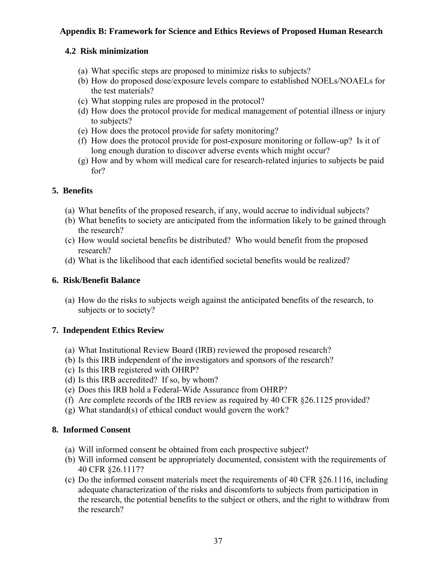## **Appendix B: Framework for Science and Ethics Reviews of Proposed Human Research**

#### **4.2 Risk minimization**

- (a) What specific steps are proposed to minimize risks to subjects?
- (b) How do proposed dose/exposure levels compare to established NOELs/NOAELs for the test materials?
- (c) What stopping rules are proposed in the protocol?
- (d) How does the protocol provide for medical management of potential illness or injury to subjects?
- (e) How does the protocol provide for safety monitoring?
- (f) How does the protocol provide for post-exposure monitoring or follow-up? Is it of long enough duration to discover adverse events which might occur?
- (g) How and by whom will medical care for research-related injuries to subjects be paid for?

## **5. Benefits**

- (a) What benefits of the proposed research, if any, would accrue to individual subjects?
- (b) What benefits to society are anticipated from the information likely to be gained through the research?
- (c) How would societal benefits be distributed? Who would benefit from the proposed research?
- (d) What is the likelihood that each identified societal benefits would be realized?

## **6. Risk/Benefit Balance**

(a) How do the risks to subjects weigh against the anticipated benefits of the research, to subjects or to society?

# **7. Independent Ethics Review**

- (a) What Institutional Review Board (IRB) reviewed the proposed research?
- (b) Is this IRB independent of the investigators and sponsors of the research?
- (c) Is this IRB registered with OHRP?
- (d) Is this IRB accredited? If so, by whom?
- (e) Does this IRB hold a Federal-Wide Assurance from OHRP?
- (f) Are complete records of the IRB review as required by 40 CFR §26.1125 provided?
- (g) What standard(s) of ethical conduct would govern the work?

#### **8. Informed Consent**

- (a) Will informed consent be obtained from each prospective subject?
- (b) Will informed consent be appropriately documented, consistent with the requirements of 40 CFR §26.1117?
- (c) Do the informed consent materials meet the requirements of 40 CFR §26.1116, including adequate characterization of the risks and discomforts to subjects from participation in the research, the potential benefits to the subject or others, and the right to withdraw from the research?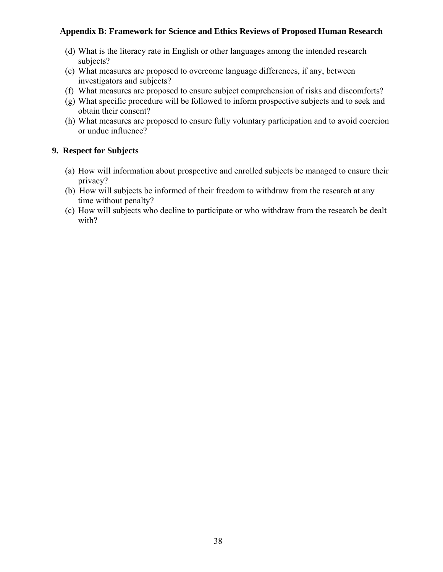#### **Appendix B: Framework for Science and Ethics Reviews of Proposed Human Research**

- (d) What is the literacy rate in English or other languages among the intended research subjects?
- (e) What measures are proposed to overcome language differences, if any, between investigators and subjects?
- (f) What measures are proposed to ensure subject comprehension of risks and discomforts?
- (g) What specific procedure will be followed to inform prospective subjects and to seek and obtain their consent?
- (h) What measures are proposed to ensure fully voluntary participation and to avoid coercion or undue influence?

## **9. Respect for Subjects**

- (a) How will information about prospective and enrolled subjects be managed to ensure their privacy?
- (b) How will subjects be informed of their freedom to withdraw from the research at any time without penalty?
- (c) How will subjects who decline to participate or who withdraw from the research be dealt with?